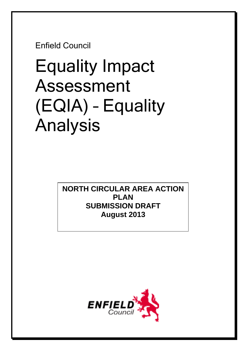Enfield Council

# Equality Impact Assessment (EQIA) – Equality Analysis

**NORTH CIRCULAR AREA ACTION PLAN SUBMISSION DRAFT August 2013** 

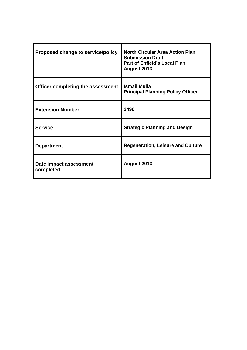| Proposed change to service/policy   | <b>North Circular Area Action Plan</b><br><b>Submission Draft</b><br><b>Part of Enfield's Local Plan</b><br>August 2013 |
|-------------------------------------|-------------------------------------------------------------------------------------------------------------------------|
| Officer completing the assessment   | <b>Ismail Mulla</b><br><b>Principal Planning Policy Officer</b>                                                         |
| <b>Extension Number</b>             | 3490                                                                                                                    |
| <b>Service</b>                      | <b>Strategic Planning and Design</b>                                                                                    |
| <b>Department</b>                   | <b>Regeneration, Leisure and Culture</b>                                                                                |
| Date impact assessment<br>completed | August 2013                                                                                                             |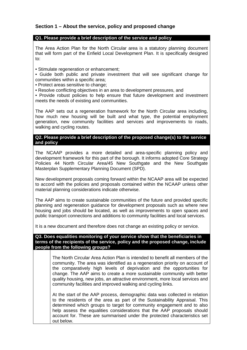# **Section 1 – About the service, policy and proposed change**

#### **Q1. Please provide a brief description of the service and policy**

The Area Action Plan for the North Circular area is a statutory planning document that will form part of the Enfield Local Development Plan. It is specifically designed to:

- Stimulate regeneration or enhancement;
- Guide both public and private investment that will see significant change for communities within a specific area;
- Protect areas sensitive to change;
- Resolve conflicting objectives in an area to development pressures, and
- Provide robust policies to help ensure that future development and investment meets the needs of existing and communities.

The AAP sets out a regeneration framework for the North Circular area including, how much new housing will be built and what type, the potential employment generation, new community facilities and services and improvements to roads, walking and cycling routes.

#### **Q2. Please provide a brief description of the proposed change(s) to the service and policy**

The NCAAP provides a more detailed and area-specific planning policy and development framework for this part of the borough. It informs adopted Core Strategy Policies 44 North Circular Area/45 New Southgate and the New Southgate Masterplan Supplementary Planning Document (SPD).

New development proposals coming forward within the NCAAP area will be expected to accord with the policies and proposals contained within the NCAAP unless other material planning considerations indicate otherwise.

The AAP aims to create sustainable communities of the future and provided specific planning and regeneration guidance for development proposals such as where new housing and jobs should be located, as well as improvements to open spaces and public transport connections and additions to community facilities and local services.

It is a new document and therefore does not change an existing policy or service.

**Q3. Does equalities monitoring of your service show that the beneficiaries in terms of the recipients of the service, policy and the proposed change, include people from the following groups?** 

> The North Circular Area Action Plan is intended to benefit all members of the community. The area was identified as a regeneration priority on account of the comparatively high levels of deprivation and the opportunities for change. The AAP aims to create a more sustainable community with better quality housing, new jobs, an attractive environment, more local services and community facilities and improved walking and cycling links.

> At the start of the AAP process, demographic data was collected in relation to the residents of the area as part of the Sustainability Appraisal. This determined which groups to target for community engagement and to also help assess the equalities considerations that the AAP proposals should account for. These are summarised under the protected characteristics set out below.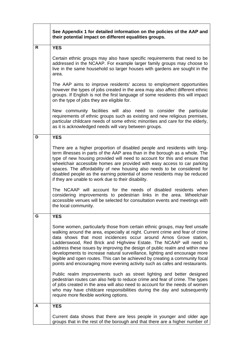|    | See Appendix 1 for detailed information on the policies of the AAP and<br>their potential impact on different equalities groups.                                                                                                                                                                                                                                                                                                                                                                                                                                                                                                  |  |
|----|-----------------------------------------------------------------------------------------------------------------------------------------------------------------------------------------------------------------------------------------------------------------------------------------------------------------------------------------------------------------------------------------------------------------------------------------------------------------------------------------------------------------------------------------------------------------------------------------------------------------------------------|--|
| R. | <b>YES</b>                                                                                                                                                                                                                                                                                                                                                                                                                                                                                                                                                                                                                        |  |
|    | Certain ethnic groups may also have specific requirements that need to be<br>addressed in the NCAAP. For example larger family groups may choose to<br>live in the same household so larger houses with gardens are sought in the<br>area.                                                                                                                                                                                                                                                                                                                                                                                        |  |
|    | The AAP aims to improve residents' access to employment opportunities<br>however the types of jobs created in the area may also affect different ethnic<br>groups. If English is not the first language of some residents this will impact<br>on the type of jobs they are eligible for.                                                                                                                                                                                                                                                                                                                                          |  |
|    | New community facilities will also need to consider the particular<br>requirements of ethnic groups such as existing and new religious premises,<br>particular childcare needs of some ethnic minorities and care for the elderly,<br>as it is acknowledged needs will vary between groups.                                                                                                                                                                                                                                                                                                                                       |  |
| D  | <b>YES</b>                                                                                                                                                                                                                                                                                                                                                                                                                                                                                                                                                                                                                        |  |
|    | There are a higher proportion of disabled people and residents with long-<br>term illnesses in parts of the AAP area than in the borough as a whole. The<br>type of new housing provided will need to account for this and ensure that<br>wheelchair accessible homes are provided with easy access to car parking<br>spaces. The affordability of new housing also needs to be considered for<br>disabled people as the earning potential of some residents may be reduced<br>if they are unable to work due to their disability.                                                                                                |  |
|    | The NCAAP will account for the needs of disabled residents when<br>considering improvements to pedestrian links in the area. Wheelchair<br>accessible venues will be selected for consultation events and meetings with<br>the local community.                                                                                                                                                                                                                                                                                                                                                                                   |  |
| G  | <b>YES</b>                                                                                                                                                                                                                                                                                                                                                                                                                                                                                                                                                                                                                        |  |
|    | Some women, particularly those from certain ethnic groups, may feel unsafe<br>walking around the area, especially at night. Current crime and fear of crime<br>data shows that most incidences occur around Arnos Grove station,<br>Ladderswood, Red Brick and Highview Estate. The NCAAP will need to<br>address these issues by improving the design of public realm and within new<br>developments to increase natural surveillance, lighting and encourage more<br>legible and open routes. This can be achieved by creating a community focal<br>points and encouraging more evening activity such as cafes and restaurants. |  |
|    | Public realm improvements such as street lighting and better designed<br>pedestrian routes can also help to reduce crime and fear of crime. The types<br>of jobs created in the area will also need to account for the needs of women<br>who may have childcare responsibilities during the day and subsequently<br>require more flexible working options.                                                                                                                                                                                                                                                                        |  |
| А  | <b>YES</b>                                                                                                                                                                                                                                                                                                                                                                                                                                                                                                                                                                                                                        |  |
|    | Current data shows that there are less people in younger and older age<br>groups that in the rest of the borough and that there are a higher number of                                                                                                                                                                                                                                                                                                                                                                                                                                                                            |  |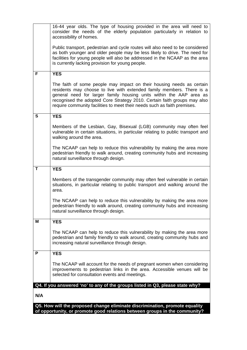|     | 16-44 year olds. The type of housing provided in the area will need to<br>consider the needs of the elderly population particularly in relation to<br>accessibility of homes.                                                                                                                                                                                                 |
|-----|-------------------------------------------------------------------------------------------------------------------------------------------------------------------------------------------------------------------------------------------------------------------------------------------------------------------------------------------------------------------------------|
|     | Public transport, pedestrian and cycle routes will also need to be considered<br>as both younger and older people may be less likely to drive. The need for<br>facilities for young people will also be addressed in the NCAAP as the area<br>is currently lacking provision for young people.                                                                                |
| F   | <b>YES</b>                                                                                                                                                                                                                                                                                                                                                                    |
|     | The faith of some people may impact on their housing needs as certain<br>residents may choose to live with extended family members. There is a<br>general need for larger family housing units within the AAP area as<br>recognised the adopted Core Strategy 2010. Certain faith groups may also<br>require community facilities to meet their needs such as faith premises. |
| S   | <b>YES</b>                                                                                                                                                                                                                                                                                                                                                                    |
|     | Members of the Lesbian, Gay, Bisexual (LGB) community may often feel<br>vulnerable in certain situations, in particular relating to public transport and<br>walking around the area.                                                                                                                                                                                          |
|     | The NCAAP can help to reduce this vulnerability by making the area more<br>pedestrian friendly to walk around, creating community hubs and increasing<br>natural surveillance through design.                                                                                                                                                                                 |
| T   | <b>YES</b>                                                                                                                                                                                                                                                                                                                                                                    |
|     | Members of the transgender community may often feel vulnerable in certain<br>situations, in particular relating to public transport and walking around the<br>area.                                                                                                                                                                                                           |
|     | The NCAAP can help to reduce this vulnerability by making the area more<br>pedestrian friendly to walk around, creating community hubs and increasing<br>natural surveillance through design.                                                                                                                                                                                 |
| Μ   | <b>YES</b>                                                                                                                                                                                                                                                                                                                                                                    |
|     | The NCAAP can help to reduce this vulnerability by making the area more<br>pedestrian and family friendly to walk around, creating community hubs and<br>increasing natural surveillance through design.                                                                                                                                                                      |
| P   | <b>YES</b>                                                                                                                                                                                                                                                                                                                                                                    |
|     | The NCAAP will account for the needs of pregnant women when considering<br>improvements to pedestrian links in the area. Accessible venues will be<br>selected for consultation events and meetings.                                                                                                                                                                          |
|     | Q4. If you answered 'no' to any of the groups listed in Q3, please state why?                                                                                                                                                                                                                                                                                                 |
| N/A |                                                                                                                                                                                                                                                                                                                                                                               |
|     | Q5. How will the proposed change eliminate discrimination, promote equality                                                                                                                                                                                                                                                                                                   |
|     | of opportunity, or promote good relations between groups in the community?                                                                                                                                                                                                                                                                                                    |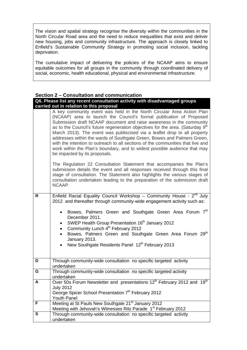The vision and spatial strategy recognise the diversity within the communities in the North Circular Road area and the need to reduce inequalities that exist and deliver new housing, jobs and community infrastructure. The approach is closely linked to Enfield's Sustainable Community Strategy in promoting social inclusion, tackling deprivation.

The cumulative impact of delivering the policies of the NCAAP aims to ensure equitable outcomes for all groups in the community through coordinated delivery of social, economic, health educational, physical and environmental infrastructure.

#### **Section 2 – Consultation and communication**

| Q6. Please list any recent consultation activity with disadvantaged groups |
|----------------------------------------------------------------------------|
| carried out in relation to this proposal                                   |

|    | A key community event was held in the North Circular Area Action Plan<br>(NCAAP) area to launch the Council's formal publication of Proposed<br>Submission draft NCAAP document and raise awareness in the community<br>as to the Council's future regeneration objectives for the area. (Saturday 9 <sup>th</sup><br>March 2013). The event was publiscised via a leaflet drop to all property<br>addresses within the wards of Southgate Green, Bowes and Palmers Green,<br>with the intention to outreach to all sections of the communities that live and<br>work within the Plan's boundary, and to widest possible audience that may<br>be impacted by its proposals. |  |
|----|-----------------------------------------------------------------------------------------------------------------------------------------------------------------------------------------------------------------------------------------------------------------------------------------------------------------------------------------------------------------------------------------------------------------------------------------------------------------------------------------------------------------------------------------------------------------------------------------------------------------------------------------------------------------------------|--|
|    | The Regulation 22 Consultation Statement that accompanies the Plan's<br>submission details the event and all responses received through this final<br>stage of consultation. The Statement also highlights the various stages of<br>consultation undertaken leading to the preparation of the submission draft<br>NCAAP.                                                                                                                                                                                                                                                                                                                                                    |  |
| R. | Enfield Racial Equality Council Workshop - Community House - 2nd July<br>2012 and thereafter through community-wide engagement activity such as:                                                                                                                                                                                                                                                                                                                                                                                                                                                                                                                            |  |
|    | Bowes, Palmers Green and Southgate Green Area Forum 7th<br>$\bullet$<br>December 2011.<br>SWEP Health Group Presentation 16 <sup>th</sup> January 2012<br>$\bullet$<br>Community Lunch 4 <sup>th</sup> February 2012<br>Bowes, Palmers Green and Southgate Green Area Forum 29 <sup>th</sup><br>January 2013.<br>New Southgate Residents Panel 12 <sup>th</sup> February 2013<br>$\bullet$                                                                                                                                                                                                                                                                                  |  |
| D  | Through community-wide consultation no specific targeted activity<br>undertaken                                                                                                                                                                                                                                                                                                                                                                                                                                                                                                                                                                                             |  |
| G  | Through community-wide consultation no specific targeted activity<br>undertaken                                                                                                                                                                                                                                                                                                                                                                                                                                                                                                                                                                                             |  |
| A  | Over 50s Forum Newsletter and presentations 12 <sup>th</sup> February 2012 and 19 <sup>th</sup><br><b>July 2012</b><br>George Spicer School Presentation 7th February 2012<br>Youth Panel                                                                                                                                                                                                                                                                                                                                                                                                                                                                                   |  |
| F  | Meeting at St Pauls New Southgate 21 <sup>st</sup> January 2012<br>Meeting with Jehovah's Witnesses Ritz Parade 1 <sup>st</sup> February 2012                                                                                                                                                                                                                                                                                                                                                                                                                                                                                                                               |  |
| S  | Through community-wide consultation no specific targeted activity<br>undertaken                                                                                                                                                                                                                                                                                                                                                                                                                                                                                                                                                                                             |  |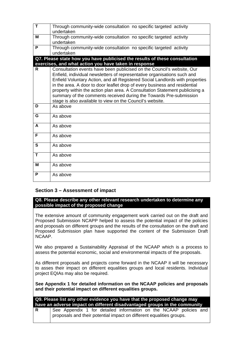| $\overline{\mathsf{T}}$ | Through community-wide consultation no specific targeted activity                                                               |
|-------------------------|---------------------------------------------------------------------------------------------------------------------------------|
|                         | undertaken                                                                                                                      |
| м                       | Through community-wide consultation no specific targeted activity                                                               |
|                         | undertaken                                                                                                                      |
| P                       | Through community-wide consultation no specific targeted activity                                                               |
|                         | undertaken                                                                                                                      |
|                         | Q7. Please state how you have publicised the results of these consultation                                                      |
|                         | exercises, and what action you have taken in response                                                                           |
| R                       | Consultation events have been publicised on the Council's website, Our                                                          |
|                         | Enfield, individual newsletters of representative organisations such and                                                        |
|                         | Enfield Voluntary Action, and all Registered Social Landlords with properties                                                   |
|                         | in the area. A door to door leaflet drop of every business and residential                                                      |
|                         | property within the action plan area. A Consultation Statement publicising a                                                    |
|                         | summary of the comments received during the Towards Pre-submission<br>stage is also available to view on the Council's website. |
| D                       | As above                                                                                                                        |
|                         |                                                                                                                                 |
| G                       | As above                                                                                                                        |
| A                       | As above                                                                                                                        |
|                         |                                                                                                                                 |
| F                       | As above                                                                                                                        |
|                         |                                                                                                                                 |
| S                       | As above                                                                                                                        |
| T                       | As above                                                                                                                        |
|                         |                                                                                                                                 |
| М                       | As above                                                                                                                        |
|                         |                                                                                                                                 |
| P                       | As above                                                                                                                        |
|                         |                                                                                                                                 |

# **Section 3 – Assessment of impact**

#### **Q8. Please describe any other relevant research undertaken to determine any possible impact of the proposed change**

The extensive amount of community engagement work carried out on the draft and Proposed Submission NCAPP helped to assess the potential impact of the policies and proposals on different groups and the results of the consultation on the draft and Proposed Submission plan have supported the content of the Submission Draft NCAAP.

We also prepared a Sustainability Appraisal of the NCAAP which is a process to assess the potential economic, social and environmental impacts of the proposals.

As different proposals and projects come forward in the NCAAP it will be necessary to asses their impact on different equalities groups and local residents. Individual project EQIAs may also be required.

**See Appendix 1 for detailed information on the NCAAP policies and proposals and their potential impact on different equalities groups.** 

| Q9. Please list any other evidence you have that the proposed change may<br>have an adverse impact on different disadvantaged groups in the community |                                                                                                                                           |  |
|-------------------------------------------------------------------------------------------------------------------------------------------------------|-------------------------------------------------------------------------------------------------------------------------------------------|--|
| R.                                                                                                                                                    | See Appendix 1 for detailed information on the NCAAP policies and<br>proposals and their potential impact on different equalities groups. |  |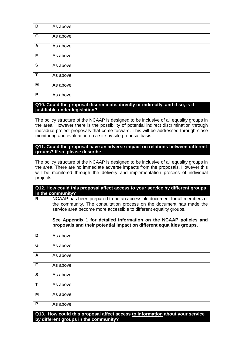| $\overline{\mathsf{D}}$ | As above |
|-------------------------|----------|
| $\overline{G}$          | As above |
| $\overline{A}$          | As above |
| $\overline{F}$          | As above |
| $\overline{\mathbf{s}}$ | As above |
| $\overline{\mathsf{T}}$ | As above |
| $\overline{\mathsf{M}}$ | As above |
| $\overline{P}$          | As above |

### **Q10. Could the proposal discriminate, directly or indirectly, and if so, is it justifiable under legislation?**

The policy structure of the NCAAP is designed to be inclusive of all equality groups in the area. However there is the possibility of potential indirect discrimination through individual project proposals that come forward. This will be addressed through close monitoring and evaluation on a site by site proposal basis.

**Q11. Could the proposal have an adverse impact on relations between different groups? If so, please describe** 

The policy structure of the NCAAP is designed to be inclusive of all equality groups in the area. There are no immediate adverse impacts from the proposals. However this will be monitored through the delivery and implementation process of individual projects.

|                                                                              | Q12. How could this proposal affect access to your service by different groups |  |  |
|------------------------------------------------------------------------------|--------------------------------------------------------------------------------|--|--|
| in the community?                                                            |                                                                                |  |  |
| R                                                                            | NCAAP has been prepared to be an accessible document for all members of        |  |  |
|                                                                              | the community. The consultation process on the document has made the           |  |  |
|                                                                              | service area become more accessible to different equality groups.              |  |  |
|                                                                              |                                                                                |  |  |
|                                                                              | See Appendix 1 for detailed information on the NCAAP policies and              |  |  |
|                                                                              | proposals and their potential impact on different equalities groups.           |  |  |
| D                                                                            |                                                                                |  |  |
|                                                                              | As above                                                                       |  |  |
| G                                                                            | As above                                                                       |  |  |
|                                                                              |                                                                                |  |  |
| A                                                                            | As above                                                                       |  |  |
|                                                                              |                                                                                |  |  |
| F                                                                            | As above                                                                       |  |  |
| S                                                                            | As above                                                                       |  |  |
|                                                                              |                                                                                |  |  |
| T                                                                            | As above                                                                       |  |  |
|                                                                              |                                                                                |  |  |
| M                                                                            | As above                                                                       |  |  |
| P                                                                            | As above                                                                       |  |  |
|                                                                              |                                                                                |  |  |
| Q13. How could this proposal affect access to information about your service |                                                                                |  |  |
| by different groups in the community?                                        |                                                                                |  |  |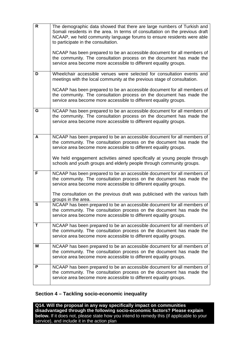| $\overline{\mathsf{R}}$ | The demographic data showed that there are large numbers of Turkish and<br>Somali residents in the area. In terms of consultation on the previous draft<br>NCAAP, we held community language forums to ensure residents were able<br>to participate in the consultation.<br>NCAAP has been prepared to be an accessible document for all members of<br>the community. The consultation process on the document has made the<br>service area become more accessible to different equality groups. |
|-------------------------|--------------------------------------------------------------------------------------------------------------------------------------------------------------------------------------------------------------------------------------------------------------------------------------------------------------------------------------------------------------------------------------------------------------------------------------------------------------------------------------------------|
| D                       | Wheelchair accessible venues were selected for consultation events and                                                                                                                                                                                                                                                                                                                                                                                                                           |
|                         | meetings with the local community at the previous stage of consultation.                                                                                                                                                                                                                                                                                                                                                                                                                         |
|                         | NCAAP has been prepared to be an accessible document for all members of<br>the community. The consultation process on the document has made the<br>service area become more accessible to different equality groups.                                                                                                                                                                                                                                                                             |
| G                       | NCAAP has been prepared to be an accessible document for all members of<br>the community. The consultation process on the document has made the<br>service area become more accessible to different equality groups.                                                                                                                                                                                                                                                                             |
| A                       | NCAAP has been prepared to be an accessible document for all members of<br>the community. The consultation process on the document has made the<br>service area become more accessible to different equality groups.<br>We held engagement activities aimed specifically at young people through<br>schools and youth groups and elderly people through community groups.                                                                                                                        |
| F                       | NCAAP has been prepared to be an accessible document for all members of<br>the community. The consultation process on the document has made the                                                                                                                                                                                                                                                                                                                                                  |
|                         | service area become more accessible to different equality groups.                                                                                                                                                                                                                                                                                                                                                                                                                                |
|                         | The consultation on the previous draft was publicised with the various faith<br>groups in the area.                                                                                                                                                                                                                                                                                                                                                                                              |
| S                       | NCAAP has been prepared to be an accessible document for all members of<br>the community. The consultation process on the document has made the<br>service area become more accessible to different equality groups.                                                                                                                                                                                                                                                                             |
| T                       | NCAAP has been prepared to be an accessible document for all members of<br>the community. The consultation process on the document has made the<br>service area become more accessible to different equality groups.                                                                                                                                                                                                                                                                             |
| M                       | NCAAP has been prepared to be an accessible document for all members of<br>the community. The consultation process on the document has made the<br>service area become more accessible to different equality groups.                                                                                                                                                                                                                                                                             |
| P                       | NCAAP has been prepared to be an accessible document for all members of<br>the community. The consultation process on the document has made the<br>service area become more accessible to different equality groups.                                                                                                                                                                                                                                                                             |

# **Section 4 – Tackling socio-economic inequality**

**Q14. Will the proposal in any way specifically impact on communities disadvantaged through the following socio-economic factors? Please explain below.** If it does not, please state how you intend to remedy this (if applicable to your service), and include it in the action plan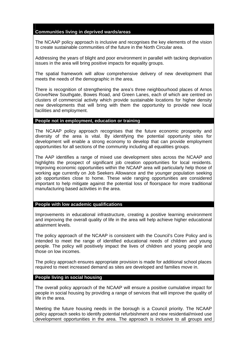#### **Communities living in deprived wards/areas**

The NCAAP policy approach is inclusive and recognises the key elements of the vision to create sustainable communities of the future in the North Circular area.

Addressing the years of blight and poor environment in parallel with tacking deprivation issues in the area will bring positive impacts for equality groups.

The spatial framework will allow comprehensive delivery of new development that meets the needs of the demographic in the area.

There is recognition of strengthening the area's three neighbourhood places of Arnos Grove/New Southgate, Bowes Road, and Green Lanes, each of which are centred on clusters of commercial activity which provide sustainable locations for higher density new developments that will bring with them the opportunity to provide new local facilities and employment.

#### **People not in employment, education or training**

The NCAAP policy approach recognises that the future economic prosperity and diversity of the area is vital. By identifying the potential opportunity sites for development will enable a strong economy to develop that can provide employment opportunities for all sections of the community including all equalities groups.

The AAP identifies a range of mixed use development sites across the NCAAP and highlights the prospect of significant job creation opportunities for local residents. Improving economic opportunities within the NCAAP area will particularly help those of working age currently on Job Seekers Allowance and the younger population seeking job opportunities close to home. These wide ranging opportunities are considered important to help mitigate against the potential loss of floorspace for more traditional manufacturing based activities in the area.

**People with low academic qualifications** 

Improvements in educational infrastructure, creating a positive learning environment and improving the overall quality of life in the area will help achieve higher educational attainment levels.

The policy approach of the NCAAP is consistent with the Council's Core Policy and is intended to meet the range of identified educational needs of children and young people. The policy will positively impact the lives of children and young people and those on low incomes.

The policy approach ensures appropriate provision is made for additional school places required to meet increased demand as sites are developed and families move in.

#### **People living in social housing**

The overall policy approach of the NCAAP will ensure a positive cumulative impact for people in social housing by providing a range of services that will improve the quality of life in the area.

Meeting the future housing needs in the borough is a Council priority. The NCAAP policy approach seeks to identify potential refurbishment and new residential/mixed use development opportunities in the area. The approach is inclusive to all groups and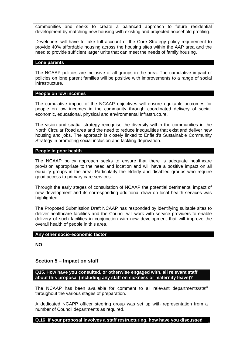communities and seeks to create a balanced approach to future residential development by matching new housing with existing and projected household profiling.

Developers will have to take full account of the Core Strategy policy requirement to provide 40% affordable housing across the housing sites within the AAP area and the need to provide sufficient larger units that can meet the needs of family housing.

#### **Lone parents**

The NCAAP policies are inclusive of all groups in the area. The cumulative impact of policies on lone parent families will be positive with improvements to a range of social infrastructure.

#### **People on low incomes**

The cumulative impact of the NCAAP objectives will ensure equitable outcomes for people on low incomes in the community through coordinated delivery of social, economic, educational, physical and environmental infrastructure.

The vision and spatial strategy recognise the diversity within the communities in the North Circular Road area and the need to reduce inequalities that exist and deliver new housing and jobs. The approach is closely linked to Enfield's Sustainable Community Strategy in promoting social inclusion and tackling deprivation.

#### **People in poor health**

The NCAAP policy approach seeks to ensure that there is adequate healthcare provision appropriate to the need and location and will have a positive impact on all equality groups in the area. Particularly the elderly and disabled groups who require good access to primary care services.

Through the early stages of consultation of NCAAP the potential detrimental impact of new development and its corresponding additional draw on local health services was highlighted.

The Proposed Submission Draft NCAAP has responded by identifying suitable sites to deliver healthcare facilities and the Council will work with service providers to enable delivery of such facilities in conjunction with new development that will improve the overall health of people in this area.

#### **Any other socio-economic factor**

**NO** 

#### **Section 5 – Impact on staff**

**Q15. How have you consulted, or otherwise engaged with, all relevant staff about this proposal (including any staff on sickness or maternity leave)?** 

The NCAAP has been available for comment to all relevant departments/staff throughout the various stages of preparation.

A dedicated NCAPP officer steering group was set up with representation from a number of Council departments as required.

**Q.16 If your proposal involves a staff restructuring, how have you discussed**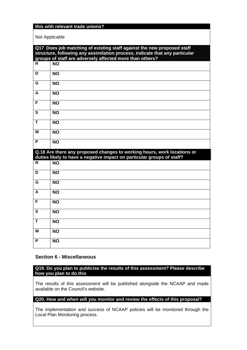### **this with relevant trade unions?**

Not Applicable

| Q17. Does job matching of existing staff against the new proposed staff |                                                                                                                                         |  |
|-------------------------------------------------------------------------|-----------------------------------------------------------------------------------------------------------------------------------------|--|
|                                                                         | structure, following any assimilation process, indicate that any particular<br>groups of staff are adversely affected more than others? |  |
| R                                                                       | <b>NO</b>                                                                                                                               |  |
| D                                                                       | <b>NO</b>                                                                                                                               |  |
| G                                                                       | <b>NO</b>                                                                                                                               |  |
| A                                                                       | <b>NO</b>                                                                                                                               |  |
| $\overline{F}$                                                          | <b>NO</b>                                                                                                                               |  |
| S                                                                       | <b>NO</b>                                                                                                                               |  |
| Т                                                                       | <b>NO</b>                                                                                                                               |  |
| м                                                                       | <b>NO</b>                                                                                                                               |  |
| P                                                                       | <b>NO</b>                                                                                                                               |  |
|                                                                         | Q.18 Are there any proposed changes to working hours, work locations or                                                                 |  |
|                                                                         | duties likely to have a negative impact on particular groups of staff?                                                                  |  |
| R                                                                       | $\overline{NO}$                                                                                                                         |  |
| D                                                                       | <b>NO</b>                                                                                                                               |  |
| G                                                                       | <b>NO</b>                                                                                                                               |  |
| A                                                                       | <b>NO</b>                                                                                                                               |  |
| F                                                                       | <b>NO</b>                                                                                                                               |  |
| $\mathbf{s}$                                                            | <b>NO</b>                                                                                                                               |  |
| T                                                                       | <b>NO</b>                                                                                                                               |  |
| М                                                                       | <b>NO</b>                                                                                                                               |  |
| P                                                                       | <b>NO</b>                                                                                                                               |  |

#### **Section 6 - Miscellaneous**

**Q19. Do you plan to publicise the results of this assessment? Please describe how you plan to do this** 

The results of this assessment will be published alongside the NCAAP and made available on the Council's website.

#### **Q20. How and when will you monitor and review the effects of this proposal?**

The implementation and success of NCAAP policies will be monitored through the Local Plan Monitoring process.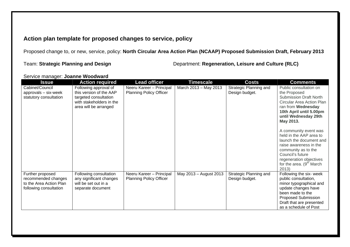# **Action plan template for proposed changes to service, policy**

Proposed change to, or new, service, policy: **North Circular Area Action Plan (NCAAP) Proposed Submission Draft, February 2013**

Team: **Strategic Planning and Design** Department: **Regeneration, Leisure and Culture (RLC)**

| Service manager: Joanne Woodward |
|----------------------------------|
|                                  |

| <b>Issue</b>                                                                                 | <b>Action required</b>                                                                                                         | <b>Lead officer</b>                                        | <b>Timescale</b>       | <b>Costs</b>                             | <b>Comments</b>                                                                                                                                                                                                                                                                                                                                                                                                  |
|----------------------------------------------------------------------------------------------|--------------------------------------------------------------------------------------------------------------------------------|------------------------------------------------------------|------------------------|------------------------------------------|------------------------------------------------------------------------------------------------------------------------------------------------------------------------------------------------------------------------------------------------------------------------------------------------------------------------------------------------------------------------------------------------------------------|
| Cabinet/Council<br>approvals - six-week<br>statutory consultation                            | Following approval of<br>this version of the AAP<br>targeted consultation<br>with stakeholders in the<br>area will be arranged | Neeru Kareer - Principal<br><b>Planning Policy Officer</b> | March 2013 - May 2013  | Strategic Planning and<br>Design budget. | Public consultation on<br>the Proposed<br><b>Submission Draft North</b><br>Circular Area Action Plan<br>ran from Wednesday<br>10th April until 5.00pm<br>until Wednesday 29th<br>May 2013.<br>A community event was<br>held in the AAP area to<br>launch the document and<br>raise awareness in the<br>community as to the<br>Council's future<br>regeneration objectives<br>for the area. $(9th March$<br>2013) |
| Further proposed<br>recommended changes<br>to the Area Action Plan<br>following consultation | Following consultation<br>any significant changes<br>will be set out in a<br>separate document                                 | Neeru Kareer - Principal<br><b>Planning Policy Officer</b> | May 2013 - August 2013 | Strategic Planning and<br>Design budget. | Following the six- week<br>public consultation,<br>minor typographical and<br>update changes have<br>been made to the<br><b>Proposed Submission</b><br>Draft that are presented<br>as a schedule of Post                                                                                                                                                                                                         |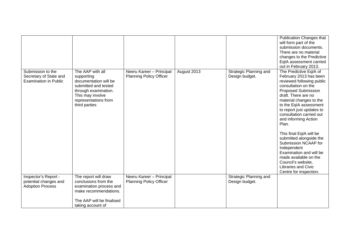|                                                                             |                                                                                                                                                                      |                                                            |             |                                          | Publication Changes that<br>will form part of the<br>submission documents.<br>There are no material<br>changes to the Predictive<br>EqIA assessment carried<br>out in February 2013.                                                                                                                                                                                                                                                                                                                                             |
|-----------------------------------------------------------------------------|----------------------------------------------------------------------------------------------------------------------------------------------------------------------|------------------------------------------------------------|-------------|------------------------------------------|----------------------------------------------------------------------------------------------------------------------------------------------------------------------------------------------------------------------------------------------------------------------------------------------------------------------------------------------------------------------------------------------------------------------------------------------------------------------------------------------------------------------------------|
| Submission to the<br>Secretary of State and<br><b>Examination in Public</b> | The AAP with all<br>supporting<br>documentation will be<br>submitted and tested<br>through examination.<br>This may involve<br>representations from<br>third parties | Neeru Kareer - Principal<br><b>Planning Policy Officer</b> | August 2013 | Strategic Planning and<br>Design budget. | The Predictive EqIA of<br>February 2013 has been<br>reviewed following public<br>consultation on the<br><b>Proposed Submission</b><br>draft. There are no<br>material changes to the<br>to the EqIA assessment<br>to report just updates to<br>consultation carried out<br>and informing Action<br>Plan.<br>This final EqIA will be<br>submitted alongside the<br>Submission NCAAP for<br>Independent<br>Examination and will be<br>made available on the<br>Council's website,<br>Libraries and Civic<br>Centre for inspection. |
| Inspector's Report -<br>potential changes and<br><b>Adoption Process</b>    | The report will draw<br>conclusions from the<br>examination process and<br>make recommendations.<br>The AAP will be finalised<br>taking account of                   | Neeru Kareer - Principal<br><b>Planning Policy Officer</b> |             | Strategic Planning and<br>Design budget. |                                                                                                                                                                                                                                                                                                                                                                                                                                                                                                                                  |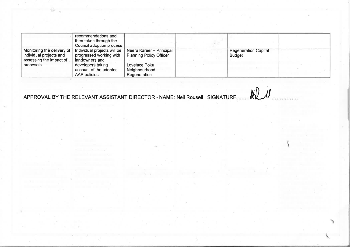|                                                                                  | recommendations and<br>then taken through the<br>Council adoption process |                                                            |                                              |  |
|----------------------------------------------------------------------------------|---------------------------------------------------------------------------|------------------------------------------------------------|----------------------------------------------|--|
| Monitoring the delivery of<br>individual projects and<br>assessing the impact of | Individual projects will be<br>progressed working with<br>landowners and  | Neeru Kareer - Principal<br><b>Planning Policy Officer</b> | <b>Regeneration Capital</b><br><b>Budget</b> |  |
| proposals                                                                        | developers taking<br>account of the adopted<br>AAP policies.              | Lovelace Poku<br>Neighbourhood<br>Regeneration             |                                              |  |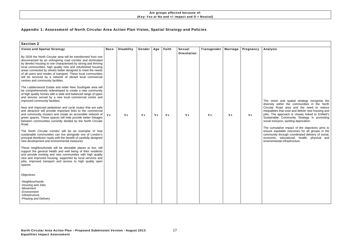# Appendix 1: Assessment of North Circular Area Action Plan Vision, Spatial Strategy and Policies

| <b>Section 2</b>                                                                                                                                                                                                                                                                                                                                                                                                                                                                               |       |                   |        |       |       |                                     |             |                 |           |  |
|------------------------------------------------------------------------------------------------------------------------------------------------------------------------------------------------------------------------------------------------------------------------------------------------------------------------------------------------------------------------------------------------------------------------------------------------------------------------------------------------|-------|-------------------|--------|-------|-------|-------------------------------------|-------------|-----------------|-----------|--|
| <b>Vision and Spatial Strategy</b>                                                                                                                                                                                                                                                                                                                                                                                                                                                             | Race  | <b>Disability</b> | Gender | Age   | Faith | <b>Sexual</b><br><b>Orientation</b> | Transgender | <b>Marriage</b> | Pregnancy |  |
| By 2026 the North Circular area will be transformed from one<br>disconnected by an unforgiving road corridor and dominated<br>by derelict housing to one characterised by strong and thriving<br>local communities, high quality new and refurbished housing<br>areas connected by streets better designed to meet the needs<br>of all users and modes of transport. These local communities<br>will be serviced by a network of vibrant local commercial<br>centres and community facilities. |       |                   |        |       |       |                                     |             |                 |           |  |
| The Ladderswood Estate and wider New Southgate area will<br>be comprehensively redeveloped to create a new community<br>of high quality homes with a wide and balanced range of types<br>and tenures served by a new local commercial centre and<br>improved community facilities.                                                                                                                                                                                                             |       |                   |        |       |       |                                     |             |                 |           |  |
| New and improved pedestrian and cycle routes that are safe<br>and attractive will provide important links to the commercial<br>and community clusters and create an accessible network of<br>green spaces. These spaces will help provide better linkages<br>between communities currently divided by the North Circular<br>Road.                                                                                                                                                              | $Y +$ | $Y +$             | $Y +$  | $Y +$ | $Y +$ | $Y +$                               | $Y +$       | $Y +$           | $Y +$     |  |
| The North Circular corridor will be an exemplar of how<br>sustainable communities can live alongside one of London's<br>principal distributor roads with the benefit of carefully designed<br>new development and environmental measures.                                                                                                                                                                                                                                                      |       |                   |        |       |       |                                     |             |                 |           |  |
| These neighbourhoods will be desirable places to live, will<br>support the general health and well being of their residents<br>and provide existing and new communities with high quality<br>new and improved housing, supported by local services and<br>jobs, improved transport and access to high quality open<br>spaces.                                                                                                                                                                  |       |                   |        |       |       |                                     |             |                 |           |  |
| Objectives:                                                                                                                                                                                                                                                                                                                                                                                                                                                                                    |       |                   |        |       |       |                                     |             |                 |           |  |
| -Neighbourhoods<br>-Housing and Jobs<br>-Movement<br>-Environment<br>-Infrastructure<br>-Phasing and Delivery                                                                                                                                                                                                                                                                                                                                                                                  |       |                   |        |       |       |                                     |             |                 |           |  |
|                                                                                                                                                                                                                                                                                                                                                                                                                                                                                                |       |                   |        |       |       |                                     |             |                 |           |  |

#### Analysis

The vision and spatial strategy recognise the diversity within the communities in the North Circular Road area and the need to reduce inequalities that exist and deliver new housing and jobs. The approach is closely linked to Enfield's Sustainable Community Strategy in promoting social inclusion, tackling deprivation.

The cumulative impact of the objectives aims to ensure equitable outcomes for all groups in the community through coordinated delivery of social, economic, educational, health, physical and environmental infrastructure.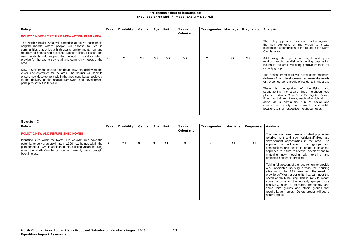The policy approach is inclusive and recognises he key elements of the vision to create sustainable communities of the future in the North Circular area.

| <b>Policy</b><br>POLICY 1 NORTH CIRCULAR AREA ACTION PLAN AREA                                                                                                                                                                                                                                               | Race  | <b>Disability</b> | Gender  | Age     | Faith   | Sexual<br><b>Orientation</b> | Transgender | Marriage | Pregnancy |  |
|--------------------------------------------------------------------------------------------------------------------------------------------------------------------------------------------------------------------------------------------------------------------------------------------------------------|-------|-------------------|---------|---------|---------|------------------------------|-------------|----------|-----------|--|
| The North Circular Area will comprise attractive sustainable<br>neighbourhoods where people will choose to live in<br>communities that enjoy a high quality environment, new and<br>refurbished homes and excellent transport links. Existing and<br>new residents will support the network of centres which |       |                   |         |         |         |                              |             |          |           |  |
| provide for the day to day retail and community needs of the<br>area.                                                                                                                                                                                                                                        | $Y +$ | $Y_{+}$           | $Y_{+}$ | $Y_{+}$ | $Y_{+}$ | $Y_{+}$                      | $Y_{+}$     | $Y +$    | $Y_{+}$   |  |
| New development should contribute towards achieving the<br>vision and objectives for the area. The Council will seek to<br>ensure new development within the area contributes positively<br>to the delivery of the spatial framework and development<br>principles set out in this AAP.                      |       |                   |         |         |         |                              |             |          |           |  |
|                                                                                                                                                                                                                                                                                                              |       |                   |         |         |         |                              |             |          |           |  |
|                                                                                                                                                                                                                                                                                                              |       |                   |         |         |         |                              |             |          |           |  |
|                                                                                                                                                                                                                                                                                                              |       |                   |         |         |         |                              |             |          |           |  |

The spatial framework will allow comprehensive delivery of new development that meets the needs of the demographic profile of residents in the area.

There is recognition of identifying and strengthening the area's three neighbourhood places of Arnos Grove/New Southgate, Bowes Road, and Green Lanes, each of which aim to serve as a community hub of social and commercial activity and provide sustainable ocations to their respective neighbourhoods.

#### Analysis

Addressing the years of blight and poor environment in parallel with tacking deprivation ssues in the area will bring positive impacts for equality groups.

| Race                                                                                                                                                                                                          | <b>Disability</b> |   |              | Faith | <b>Sexual</b> | Transgender | <b>Marriage</b> | Pregnancy |
|---------------------------------------------------------------------------------------------------------------------------------------------------------------------------------------------------------------|-------------------|---|--------------|-------|---------------|-------------|-----------------|-----------|
|                                                                                                                                                                                                               |                   |   |              |       |               |             |                 |           |
| $Y_{+}$<br>potential to deliver approximately 1,300 new homes within the<br>plan period to 2026. In addition to this, existing vacant housing<br>along the North Circular corridor is currently being brought | $Y_{+}$           | 0 | $\mathbf{o}$ | $Y +$ | $\mathbf 0$   | $\mathbf 0$ | $Y +$           | $Y +$     |
|                                                                                                                                                                                                               |                   |   |              |       |               |             |                 |           |
|                                                                                                                                                                                                               |                   |   |              |       |               |             |                 |           |
|                                                                                                                                                                                                               |                   |   | Gender       |       | Age           | Orientation |                 |           |

#### Analysis

The policy approach seeks to identify potential refurbishment and new residential/mixed use development opportunities in the area. The approach is inclusive to all groups and communities and seeks to create a balanced approach to future residential development by matching new housing with existing and projected household profiling.

Taking full account of the requirement to provide 40% affordable housing across the housing sites within the AAP area and the need to provide sufficient larger units that can meet the needs of family housing. This is likely to impact some sections of the equality groups more positively, such a Marriage, pregnancy and some faith groups and ethnic groups that require larger homes. Others groups will see a neutral impact.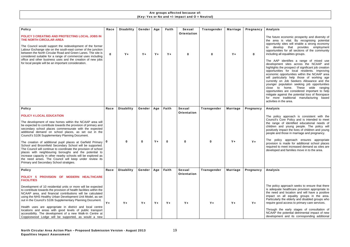#### Analysis

The future economic prosperity and diversity of the area is vital. By recognising potential opportunity sites will enable a strong economy to develop that provides employment opportunities for all sections of the community including all equalities groups.

The AAP identifies a range of mixed use development sites across the NCAAP and highlights the prospect of significant job creation opportunities for local residents. Improving economic opportunities within the NCAAP area will particularly help those of working age currently on Job Seekers Allowance and the younger population seeking job opportunities close to home. These wide ranging opportunities are considered important to help mitigate against the potential loss of floorspace for more traditional manufacturing based activities in the area.

| <b>Policy</b>                                                                                                                                                                                                                                                                                                                                                                                                                                         | Race        | <b>Disability</b> | Gender        | Age     | Faith       | <b>Sexual</b>                       | Transgender        | <b>Marriage</b> | Pregnancy |
|-------------------------------------------------------------------------------------------------------------------------------------------------------------------------------------------------------------------------------------------------------------------------------------------------------------------------------------------------------------------------------------------------------------------------------------------------------|-------------|-------------------|---------------|---------|-------------|-------------------------------------|--------------------|-----------------|-----------|
| POLICY 3 CREATING AND PROTECTING LOCAL JOBS IN<br>THE NORTH CIRCULAR AREA                                                                                                                                                                                                                                                                                                                                                                             |             |                   |               |         |             | <b>Orientation</b>                  |                    |                 |           |
| The Council would support the redevelopment of the former<br>Labour Exchange site on the south-east corner of the junction<br>between the North Circular Road and Green Lanes. The site is<br>considered suitable for a range of commercial uses including<br>office and other business uses and the creation of new jobs<br>for local people will be an important consideration.                                                                     | $\mathbf 0$ | $Y +$             | $Y +$         | $Y_{+}$ | $Y +$       | $\mathbf 0$                         | 0                  | $Y +$           |           |
|                                                                                                                                                                                                                                                                                                                                                                                                                                                       |             |                   |               |         |             |                                     |                    |                 |           |
| <b>Policy</b>                                                                                                                                                                                                                                                                                                                                                                                                                                         | Race        | <b>Disability</b> | Gender        | Age     | Faith       | <b>Sexual</b><br><b>Orientation</b> | <b>Transgender</b> | <b>Marriage</b> | Pregnancy |
| <b>POLICY 4 LOCAL EDUCATION</b>                                                                                                                                                                                                                                                                                                                                                                                                                       |             |                   |               |         |             |                                     |                    |                 |           |
| The development of new homes within the NCAAP area will<br>be expected to contribute towards the provision of primary and<br>secondary school places commensurate with the expected<br>additional demand on school places, as set out in the<br>Council's S106 Supplementary Planning Document.                                                                                                                                                       |             |                   |               |         |             |                                     |                    |                 |           |
| The creation of additional pupil places at Garfield Primary   0<br>School and Broomfield Secondary School will be supported.<br>The Council will continue to coordinate the provision of school<br>places with neighbouring boroughs and the potential to<br>increase capacity in other nearby schools will be explored as<br>the need arises. The Council will keep under review its<br>Primary and Secondary School stratigies.                     |             | 0                 | 0             | $Y +$   | $\mathbf 0$ | $\mathbf 0$                         | $\mathbf{o}$       | $Y_{+}$         | $Y_{+}$   |
| <b>Policy</b>                                                                                                                                                                                                                                                                                                                                                                                                                                         | Race        | <b>Disability</b> | <b>Gender</b> | Age     | Faith       | <b>Sexual</b><br><b>Orientation</b> | Transgender        | <b>Marriage</b> | Pregnancy |
| PROVISION OF MODERN HEALTHCARE<br><b>POLICY 5</b><br><b>FACILITIES</b>                                                                                                                                                                                                                                                                                                                                                                                |             |                   |               |         |             |                                     |                    |                 |           |
| Development of 10 residential units or more will be expected<br>to contribute towards the provision of health facilities within the<br>NCAAP area, and financial contributions will be calculated<br>using the NHS Healthy Urban Development Unit Model, as set<br>out in the Council's S106 Supplementary Planning Document.<br>Health uses are appropriate in district and local centre<br>locations and areas with good levels of public transport | $Y +$       | $Y +$             | $Y +$         | $Y +$   | $Y_{+}$     | Y+                                  | $Y_{+}$            | $Y_{+}$         | $Y_{+}$   |
| accessibility. The development of a new Walk-In Centre at<br>Coppicewood Lodge will be supported, as would a new                                                                                                                                                                                                                                                                                                                                      |             |                   |               |         |             |                                     |                    |                 |           |

#### Analysis

The policy approach is consistent with the Council's Core Policy and is intended to meet the range of identified educational needs of children and young people. The policy will positively impact the lives of children and young people and those in marriage and pregnancy.

The policy approach ensures appropriate provision is made for additional school places required to meet increased demand as sites are developed and families move in to the area.

#### Analysis

The policy approach seeks to ensure that there is adequate healthcare provision appropriate to the need and location and will have a positive impact on all equality groups in the area. Particularly the elderly and disabled groups who require good access to primary care services.

Through the early stages of consultation of NCAAP the potential detrimental impact of new development and its corresponding additional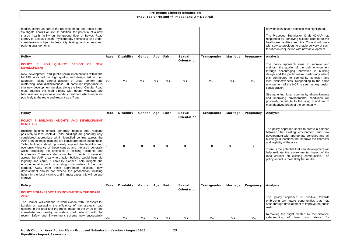#### draw on local health services was highlighted.

The Proposed Submission Draft NCAAP has responded by identifying suitable sites to deliver healthcare facilities and the Council will work with service providers to enable delivery of such facilities in conjunction with new development.

#### Analysis

The policy approach aims to improve and maintain the quality of the built environment through encouraging innovation in building design and the public realm, particularly where this contributes to community cohesion and local distinctiveness. Responding to the harsh environment of the NCR is seen as key design consideration.

Strengthening local community distinctiveness and improving environmental conditions will positively contribute to the living conditions of most deprived areas of the community.

| medical centre as part of the redevelopment and reuse of the<br>Southgate Town Hall site. In addition, the potential of a new<br>shared health facility on the ground floor of Bowes Road<br>Library for Sexual Health/Physiotherapy services is also under<br>consideration subject to feasibility testing, and access and<br>parking arrangements.                                                                                                                                                                                                                                                                                                                                                                                                                                                                                                                                                          |         |                   |             |              |             |                                     |                    |                 |           |
|---------------------------------------------------------------------------------------------------------------------------------------------------------------------------------------------------------------------------------------------------------------------------------------------------------------------------------------------------------------------------------------------------------------------------------------------------------------------------------------------------------------------------------------------------------------------------------------------------------------------------------------------------------------------------------------------------------------------------------------------------------------------------------------------------------------------------------------------------------------------------------------------------------------|---------|-------------------|-------------|--------------|-------------|-------------------------------------|--------------------|-----------------|-----------|
| <b>Policy</b>                                                                                                                                                                                                                                                                                                                                                                                                                                                                                                                                                                                                                                                                                                                                                                                                                                                                                                 | Race    | <b>Disability</b> | Gender      | Age          | Faith       | <b>Sexual</b><br><b>Orientation</b> | <b>Transgender</b> | <b>Marriage</b> | Pregnancy |
| <b>QUALITY</b><br><b>DESIGN</b><br><b>NEW</b><br><b>POLICY</b><br><b>HIGH</b><br><b>OF</b><br>6<br><b>DEVELOPMENT</b>                                                                                                                                                                                                                                                                                                                                                                                                                                                                                                                                                                                                                                                                                                                                                                                         |         |                   |             |              |             |                                     |                    |                 |           |
| New development and public realm interventions within the<br>NCAAP area will be high quality and design led in their<br>approach, taking careful account of urban context and<br>reinforcing local distinctiveness. Of particular importance is<br>that new development on sites along the North Circular Road<br>must address the road directly with doors, windows and<br>balconies and appropriate boundary treatment which responds<br>positively to the route and treats it as a 'front'.                                                                                                                                                                                                                                                                                                                                                                                                                | $Y_{+}$ | $Y +$             | $Y +$       | $Y_{+}$      | $Y_{+}$     | $Y_{+}$                             | $Y_{+}$            | $Y_{+}$         | $Y_{+}$   |
| <b>Policy</b>                                                                                                                                                                                                                                                                                                                                                                                                                                                                                                                                                                                                                                                                                                                                                                                                                                                                                                 | Race    | <b>Disability</b> | Gender      | Age          | Faith       | <b>Sexual</b>                       | Transgender        | <b>Marriage</b> | Pregnancy |
| POLICY 7 BUILDING HEIGHTS AND DEVELOPMENT<br><b>DENSITIES</b>                                                                                                                                                                                                                                                                                                                                                                                                                                                                                                                                                                                                                                                                                                                                                                                                                                                 |         |                   |             |              |             | Orientation                         |                    |                 |           |
| Building heights should generally respect and respond<br>positively to local context. Taller buildings are generally only<br>considered appropriate within identified centres across the<br>AAP area as these locations are considered more sustainable.<br>Taller buildings should positively support the legibility and<br>economic vibrancy of these centres and the area generally<br>whilst protecting the amenities of existing residents and<br>businesses. There are also a number of points of transition<br>across the AAP area where taller building would help aid<br>legibility and could, if carefully planned, help mitigate the<br>environmental impact on existing communities of the road<br>corridor. Away from these appropriate locations, new<br>development should not exceed the predominant building<br>height in the local vicinity, and in most cases this will be two<br>storeys. | 0       | 0                 | $\mathbf 0$ | $\mathbf{o}$ | $\mathbf 0$ | $\mathbf{O}$                        | $\mathbf{o}$       | $\mathbf 0$     | 0         |
| <b>Policy</b>                                                                                                                                                                                                                                                                                                                                                                                                                                                                                                                                                                                                                                                                                                                                                                                                                                                                                                 | Race    | <b>Disability</b> | Gender      | Age          | Faith       | <b>Sexual</b><br><b>Orientation</b> | <b>Transgender</b> | <b>Marriage</b> | Pregnancy |
| POLICY 8 TRANSPORT AND MOVEMENT IN THE NCAAP<br><b>AREA</b>                                                                                                                                                                                                                                                                                                                                                                                                                                                                                                                                                                                                                                                                                                                                                                                                                                                   |         |                   |             |              |             |                                     |                    |                 |           |
| The Council will continue to work closely with Transport for<br>London on assessing the efficiency of the strategic road<br>network in the area and the traffic impact of the A406 on the<br>immediate and nearby secondary road network. With the<br>recent Safety and Environment scheme now successfully                                                                                                                                                                                                                                                                                                                                                                                                                                                                                                                                                                                                   |         |                   |             |              |             |                                     |                    |                 |           |
|                                                                                                                                                                                                                                                                                                                                                                                                                                                                                                                                                                                                                                                                                                                                                                                                                                                                                                               | $Y_{+}$ |                   |             |              |             |                                     |                    |                 |           |

#### Analysis

The policy approach seeks to create a balance between the existing environment and new development with appropriate densities and tall buildings in locations that improve the character and legibility of the area.

There is the potential that new development will help mitigate the environmental impact of the road corridor on existing communities. The policy impact is most likely be neutral.

#### Analysis

The policy approach is positive towards embracing any future opportunities that may arise through development to improve the public realm.

Removing the blight created by the historical safeguarding of lane now allows for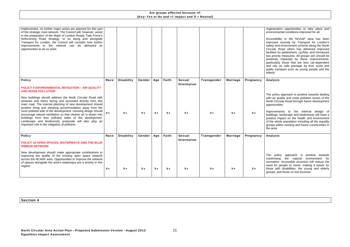regeneration opportunities to take place and environmental conditions improved for all.

Accessibility in the NCAAP area has been improved recently by Transport for London's safety and environment scheme along the North Circular Road which has delivered improved facilities for pedestrians, cyclists, and introduced bus priority measures. All groups aim should be positively impacted by these improvements, particularly those that are less car-dependent and rely on safe passage by foot, cycle and public transport such as young people and the elderly.

| Race  | <b>Disability</b>                                               | Gender | Age   | Faith | <b>Sexual</b><br><b>Orientation</b> | <b>Transgender</b> | <b>Marriage</b> | Pregnancy |
|-------|-----------------------------------------------------------------|--------|-------|-------|-------------------------------------|--------------------|-----------------|-----------|
| $Y +$ | $Y_{+}$                                                         | $Y +$  | $Y +$ | $Y +$ | $Y_{+}$                             | $Y_{+}$            | $Y_{+}$         | $Y_{+}$   |
| Race  | <b>Disability</b>                                               | Gender | Age   | Faith | <b>Sexual</b><br><b>Orientation</b> | <b>Transgender</b> | <b>Marriage</b> | Pregnancy |
|       |                                                                 |        |       |       |                                     |                    |                 |           |
| $Y +$ | $Y +$                                                           | $Y +$  | $Y +$ | $Y +$ | $Y +$                               | $Y +$              | $Y +$           | $Y +$     |
|       | encourage natural ventilation so that cleaner air is drawn into |        |       |       |                                     |                    |                 |           |

#### Analysis

The policy approach is positive towards dealing with air quality and noise pollution issues of the North Circular Road through future development opportunities.

Improvements to the internal design of buildings, landscape and biodiversity will have a positive impact on the health and environment of the whole population including all the equality groups within existing and future communities in the area.

#### Analysis

The policy approach is positive towards maximising the natural environment for recreation. Accessible provision will reduce the need for people to travel, making it easier for those with disabilities, the young and elderly groups, and those on low incomes.

Section 4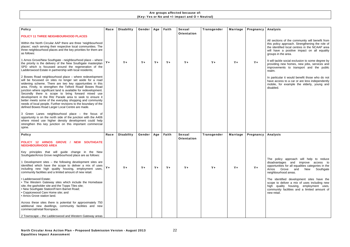It will tackle social exclusion to some degree by providing new homes, new jobs, services and improvements to transport and the public realm.

#### Analysis

| <b>Policy</b>                                                                                                                                                                                                                                                                                                                                                                                                                                                                                                                                                                                                       | Race    | <b>Disability</b> | Gender  | Age     | Faith | <b>Sexual</b> | <b>Transgender</b> | <b>Marriage</b> | Pregnancy |
|---------------------------------------------------------------------------------------------------------------------------------------------------------------------------------------------------------------------------------------------------------------------------------------------------------------------------------------------------------------------------------------------------------------------------------------------------------------------------------------------------------------------------------------------------------------------------------------------------------------------|---------|-------------------|---------|---------|-------|---------------|--------------------|-----------------|-----------|
| POLICY 11 THREE NEIGHBOURHOOD PLACES                                                                                                                                                                                                                                                                                                                                                                                                                                                                                                                                                                                |         |                   |         |         |       | Orientation   |                    |                 |           |
| Within the North Circular AAP there are three 'neighbourhood<br>places', each serving their respective local communities. The<br>three neighbourhood places and the key priorities for them are<br>as follows:                                                                                                                                                                                                                                                                                                                                                                                                      |         |                   |         |         |       |               |                    |                 |           |
| 1 Arnos Grove/New Southgate - neighbourhood place - where<br>the priority is the delivery of the New Southgate masterplan<br>SPD which is focussed around the regeneration of the<br>Ladderswood Estate in partnership with local residents;                                                                                                                                                                                                                                                                                                                                                                        | Y+      | $Y +$             | $Y +$   | $Y +$   | $Y +$ | $Y +$         | $Y +$              | $Y +$           | $Y_{+}$   |
| 2 Bowes Road neighbourhood place - where redevelopment<br>will be focussed on sites no longer set aside for a road<br>widening scheme. There are two key opportunities in this<br>area. Firstly, to strengthen the Telford Road/ Bowes Road<br>junction where significant land is available for redevelopment.<br>Secondly there is scope to bring forward mixed use<br>development in the Ritz Parade area to seek to ensure it<br>better meets some of the everyday shopping and community<br>needs of local people. Further revisions to the boundary of the<br>defined Bowes Road Larger Local Centre are made. |         |                   |         |         |       |               |                    |                 |           |
| 3 Green Lanes neighbourhood place - the focus of<br>opportunity is on the north side of the junction with the A406<br>where mixed use higher density development could help<br>strengthen this key junction on this important commercial<br>spine.                                                                                                                                                                                                                                                                                                                                                                  |         |                   |         |         |       |               |                    |                 |           |
| <b>Policy</b>                                                                                                                                                                                                                                                                                                                                                                                                                                                                                                                                                                                                       | Race    | <b>Disability</b> | Gender  | Age     | Faith | <b>Sexual</b> | Transgender        | <b>Marriage</b> | Pregnancy |
| <b>SOUTHGATE</b><br>POLICY 12 ARNOS GROVE /<br><b>NEW</b><br><b>NEIGHBOURHOOD AREA</b>                                                                                                                                                                                                                                                                                                                                                                                                                                                                                                                              |         |                   |         |         |       | Orientation   |                    |                 |           |
| Key principles that will guide change in the New<br>Southgate/Arnos Grove neighbourhood place are as follows:                                                                                                                                                                                                                                                                                                                                                                                                                                                                                                       |         |                   |         |         |       |               |                    |                 |           |
| 1 Development sites – the following development sites are<br>identified which have the scope to deliver a mix of uses<br>including new high quality housing, employment uses,<br>community facilities and a limited amount of new retail.                                                                                                                                                                                                                                                                                                                                                                           | $Y_{+}$ | $Y +$             | $Y_{+}$ | $Y_{+}$ | $Y +$ | $Y_{+}$       | $Y_{+}$            | $Y_{+}$         | $Y_{+}$   |
| • Ladderswood Estate;<br>• The Western Gateway sites which include the Homebase<br>site, the gasholder site and the Topps Tiles site;<br>• New Southgate Station/Friern Barnet Road;<br>• Coppicewood Care Home site; and<br>• Arnos Grove station land.                                                                                                                                                                                                                                                                                                                                                            |         |                   |         |         |       |               |                    |                 |           |
| Across these sites there is potential for approximately 750<br>additional new dwellings, community facilities and new<br>commercial/retail floorspace.                                                                                                                                                                                                                                                                                                                                                                                                                                                              |         |                   |         |         |       |               |                    |                 |           |
| 2 Townscape – the Ladderswood and Western Gateway areas                                                                                                                                                                                                                                                                                                                                                                                                                                                                                                                                                             |         |                   |         |         |       |               |                    |                 |           |

All sections of the community will benefit from this policy approach. Strengthening the role of the identified local centres in the NCAAP area will have a positive impact on all equality groups in the area.

In particular it would benefit those who do not have access to a car or are less independently mobile, for example the elderly, young and disabled.

#### Analysis

The policy approach will help to reduce disadvantages and improve access to opportunities for all equalities categories in the Arnos Grove and New Southgate neighbourhood areas.

The identified development sites have the scope to deliver a mix of uses including new high quality housing, employment uses, community facilities and a limited amount of new retail.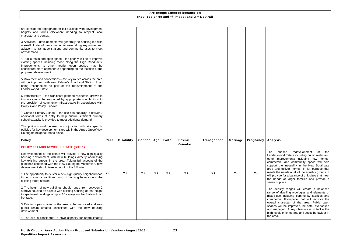| are considered appropriate for tall buildings with development<br>heights and forms elsewhere needing to respect local<br>character and context.                                                                                                                                                            |         |                   |        |       |         |                    |             |                 |           |
|-------------------------------------------------------------------------------------------------------------------------------------------------------------------------------------------------------------------------------------------------------------------------------------------------------------|---------|-------------------|--------|-------|---------|--------------------|-------------|-----------------|-----------|
| 3 Activities – developments will generally be housing led with<br>a small cluster of new commercial uses along key routes and<br>adjacent to train/tube stations and community uses to meet<br>new demand.                                                                                                  |         |                   |        |       |         |                    |             |                 |           |
| 4 Public realm and open space – the priority will be to improve<br>existing spaces including those along the High Road axis.<br>Improvements to other nearby open spaces may be<br>considered more appropriate depending on the location of the<br>proposed development.                                    |         |                   |        |       |         |                    |             |                 |           |
| 5 Movement and connections – the key routes across the area<br>will be improved with new Palmer's Road and Station Road<br>being reconnected as part of the redevelopment of the<br>Ladderswood Estate.                                                                                                     |         |                   |        |       |         |                    |             |                 |           |
| 6 Infrastructure – the significant planned residential growth in<br>this area must be supported by appropriate contributions to<br>the provision of community infrastructure in accordance with<br>Policy 4 and Policy 5 above.                                                                             |         |                   |        |       |         |                    |             |                 |           |
| 7 Garfield Primary School - the site has capacity to deliver 2<br>additional forms of entry to help ensure sufficient primary<br>school capacity is provided to meet additional demand.                                                                                                                     |         |                   |        |       |         |                    |             |                 |           |
| This policy should be read in conjunction with site specific<br>policies for key development sites within the Arnos Grove/New<br>Southgate neighbourhood place.                                                                                                                                             |         |                   |        |       |         |                    |             |                 |           |
| <b>Policy</b>                                                                                                                                                                                                                                                                                               | Race    | <b>Disability</b> | Gender | Age   | Faith   | <b>Sexual</b>      | Transgender | <b>Marriage</b> | Pregnancy |
| <b>POLICY 13 LADDERSWOOD ESTATE (SITE 1)</b>                                                                                                                                                                                                                                                                |         |                   |        |       |         | <b>Orientation</b> |             |                 |           |
| Redevelopment of the estate will provide a new high quality<br>housing environment with new buildings directly addressing<br>key existing streets in the area. Taking full account of the<br>guidance contained with the New Southgate Masterplan, new<br>development should take account of the following: |         |                   |        |       |         |                    |             |                 |           |
| 1 The opportunity to deliver a new high quality neighbourhood<br>through a more traditional form of housing base around the<br>existing street network.                                                                                                                                                     | $Y_{+}$ | $Y +$             | $Y +$  | $Y +$ | $Y_{+}$ | $Y +$              | $Y_{+}$     | $Y +$           | $Y_{+}$   |
| 2 The height of new buildings should range from between 2<br>storeys housing on streets with existing housing of that height<br>to apartment buildings of up to 10 storeys on the Station Road<br>frontage.                                                                                                 |         |                   |        |       |         |                    |             |                 |           |
| 3 Existing open spaces in the area to be improved and new<br>public realm created associated with the new housing<br>development.                                                                                                                                                                           |         |                   |        |       |         |                    |             |                 |           |
| 4 The site is considered to have capacity for approximately                                                                                                                                                                                                                                                 |         |                   |        |       |         |                    |             |                 |           |

# Analysis

The phased redevelopment of the Ladderswood Estate including public realm and other improvements including new homes, commercial and community space will help support the inequality in the New Southgate area and deliver homes, fit for purpose that meets the needs of all of the equality groups. It will provide for a balance of unit sizes that meet the needs of larger families and provide a sense of place.

The density ranges will create a balanced range of dwelling typologies and elements of mixed-use including community facilities and commercial floorspace that will improve the overall character of the area. Public open spaces will be improved, be safe, overlooked and managed. A key objective is to tackle the high levels of crime and anti social behaviour in the area.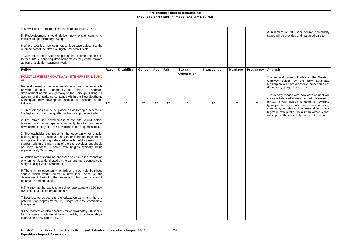A minimum of 300 sqm flexible community space will be provided and managed on-site.

| 400 dwellings in total (net increase of approximately 240).                                                                                                                                                                                                                                                                                      |       |                   |        |       |       |                    |             |                 |           |
|--------------------------------------------------------------------------------------------------------------------------------------------------------------------------------------------------------------------------------------------------------------------------------------------------------------------------------------------------|-------|-------------------|--------|-------|-------|--------------------|-------------|-----------------|-----------|
| 5 Redevelopment should deliver new onsite community<br>facilities of approximately 300sqm.                                                                                                                                                                                                                                                       |       |                   |        |       |       |                    |             |                 |           |
| 6 Where possible, new commercial floorspace adjacent to the<br>retained part of the New Southgate Industrial Estate.                                                                                                                                                                                                                             |       |                   |        |       |       |                    |             |                 |           |
| 7 CHP should be provided as part of the scheme and be able<br>to feed into surrounding developments as they come forward<br>as part of a district heating network.                                                                                                                                                                               |       |                   |        |       |       |                    |             |                 |           |
| <b>Policy</b>                                                                                                                                                                                                                                                                                                                                    | Race  | <b>Disability</b> | Gender | Age   | Faith | <b>Sexual</b>      | Transgender | <b>Marriage</b> | Pregnancy |
| POLICY 14 WESTERN GATEWAY (SITE NUMBER 2, 3 AND<br>4)                                                                                                                                                                                                                                                                                            |       |                   |        |       |       | <b>Orientation</b> |             |                 |           |
| Redevelopment of the retail warehousing and gasholder site<br>provides a major opportunity to deliver a landmark<br>development at this key gateway to the Borough. Taking full<br>account of the guidance contained within the New Southgate<br>Masterplan, new development should take account of the<br>following:                            | $Y +$ | $Y +$             | $Y +$  | $Y +$ | $Y +$ | $Y_{+}$            | $Y_{+}$     | $Y_{+}$         | $Y_{+}$   |
| 1 Great emphasis must be placed on delivering a scheme of<br>the highest architectural quality on this most prominent site.                                                                                                                                                                                                                      |       |                   |        |       |       |                    |             |                 |           |
| 2 The mixed use development of the site should deliver<br>housing, commercial space, community facilities and retail<br>development, subject to the provisions of the sequential test.                                                                                                                                                           |       |                   |        |       |       |                    |             |                 |           |
| 3 The gasholder site presents the opportunity for a taller<br>building of up to 10 storeys. The Station Road frontage should<br>also present a strong urban edge with building rising to 6<br>storeys. Within the main part of the site development should<br>be more modest in scale with heights typically being<br>approximately 2-4 storeys. |       |                   |        |       |       |                    |             |                 |           |
| 4 Station Road should be enhanced to ensure it presents an<br>environment less dominated by the car and more conducive to<br>a high quality living environment.                                                                                                                                                                                  |       |                   |        |       |       |                    |             |                 |           |
| 5 There is an opportunity to deliver a new neighbourhood<br>square which would create a new focal point for the<br>development. Links to other improved public open space will<br>be created and enhanced.                                                                                                                                       |       |                   |        |       |       |                    |             |                 |           |
| 6 The site has the capacity to deliver approximately 360 new<br>dwellings of a mixed tenure and size.                                                                                                                                                                                                                                            |       |                   |        |       |       |                    |             |                 |           |
| 7 Best located adjacent to the railway embankment, there is<br>potential for approximately 3,500sqm of new commercial<br>floorspace.                                                                                                                                                                                                             |       |                   |        |       |       |                    |             |                 |           |
| 8 The masterplan also accounts for approximately 500sqm of<br>flexible space which would be occupied by small local shops<br>to serve this new community.                                                                                                                                                                                        |       |                   |        |       |       |                    |             |                 |           |

#### Analysis

The redevelopment of sites at the Western Gateway guided by the New Southgate Masterplan will have a positive impact on all of the equality groups in the area.

The density ranges with new development will create a balanced environment with a sense of arrival. It will include a range of dwelling typologies and elements of mixed-use including community facilities and commercial floorspace together with public realm improvements that will improve the overall character of the area.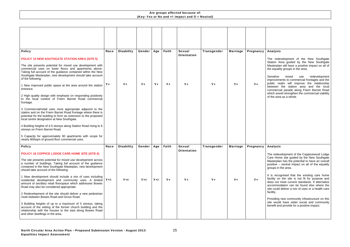#### Analysis

The redevelopment of the New Southgate Station Area guided by the New Southgate Masterplan will have a positive impact on all of the equality groups in the area.

| <b>Policy</b>                                                                                                                                                                                                                                                         | Race | <b>Disability</b> | Gender | Age    | Faith   | <b>Sexual</b>      | Transgender | <b>Marriage</b> | Pregnancy |
|-----------------------------------------------------------------------------------------------------------------------------------------------------------------------------------------------------------------------------------------------------------------------|------|-------------------|--------|--------|---------|--------------------|-------------|-----------------|-----------|
| <b>POLICY 15 NEW SOUTHGATE STATION AREA (SITE 5)</b>                                                                                                                                                                                                                  |      |                   |        |        |         | <b>Orientation</b> |             |                 |           |
| The site presents potential for mixed use development with<br>commercial uses on lower floors and apartments above.<br>Taking full account of the guidance contained within the New<br>Southgate Masterplan, new development should take account<br>of the following: |      |                   |        |        |         |                    |             |                 |           |
| 1 New improved public space at the area around the station<br>entrance.                                                                                                                                                                                               | Y+   | $Y_{+}$           | $Y +$  | $Y +$  | $Y_{+}$ | $Y_{+}$            | $Y +$       | $Y_{+}$         | $Y_{+}$   |
| 2 High quality design with emphasis on responding positively<br>to the local context of Friern Barnet Road commercial<br>frontage.                                                                                                                                    |      |                   |        |        |         |                    |             |                 |           |
| 3 Commercial/retail uses most appropriate adjacent to the<br>station and on the Friern Barnet Road frontage where there is<br>potential for the building to form an extension to the proposed<br>local centre designation at New Southgate.                           |      |                   |        |        |         |                    |             |                 |           |
| 4 Building heights of 4-5 storeys along Station Road rising to 6<br>storeys on Friern Barnet Road.                                                                                                                                                                    |      |                   |        |        |         |                    |             |                 |           |
| 5 Capacity for approximately 80 apartments with scope for<br>nearly 800sqm of ground floor commercial uses.                                                                                                                                                           |      |                   |        |        |         |                    |             |                 |           |
| <b>Policy</b>                                                                                                                                                                                                                                                         | Race | <b>Disability</b> | Gender | Age    | Faith   | <b>Sexual</b>      | Transgender | <b>Marriage</b> | Pregnancy |
| POLICY 16 COPPICE LODGE CARE HOME SITE (SITE 6)                                                                                                                                                                                                                       |      |                   |        |        |         | <b>Orientation</b> |             |                 |           |
| The site presents potential for mixed use development across<br>a number of buildings. Taking full account of the guidance<br>contained in the New Southgate Masteplan, new development<br>should take account of the following:                                      |      |                   |        |        |         |                    |             |                 |           |
| 1 New development should include a mix of uses including<br>residential development and community uses. A limited $Y+1$ -<br>amount of ancillary retail floorspace which addresses Bowes<br>Road may also be considered appropriate.                                  |      | $Y+/-$            | $Y+/-$ | $Y+/-$ | $Y_{+}$ | $Y_{+}$            | $Y_{+}$     | $Y_{+}$         | $Y_{+}$   |
| 2 Redevelopment of the site should deliver a new pedestrian<br>route between Bowes Road and Grove Road.                                                                                                                                                               |      |                   |        |        |         |                    |             |                 |           |
| 3 Building heights of up to a maximum of 5 storeys, taking<br>account of the setting of the former church building and the<br>relationship with the houses to the east along Bowes Road<br>and other dwellings in the area.                                           |      |                   |        |        |         |                    |             |                 |           |

Sensitive mixed use redevelopment improvements to commercial frontages and the public realm will improve the relationship between the station area and the local commercial parade along Friern Barnet Road which would strengthen the commercial viability of the area as a whole.

#### Analysis

The redevelopment of the Coppicewood Lodge Care Home site guided by the New Southgate Masterplan has the potential to have an overall positive – neutral impact on all of the equality groups in the area.

It is recognised that the existing care home facility on the site is not fit for purpose and does not meet current standards. If alternative accommodation can be found else where the site could deliver a mix of uses or a health care facility.

Providing new community infrastructure on this site would have wider social and community benefit and provide for a positive impact.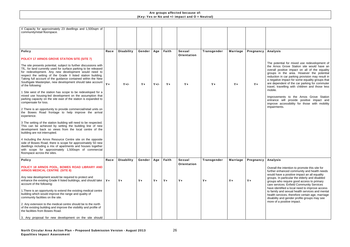| 4 Capacity for approximately 23 dwellings and 1,500sqm of<br>community/retail floorspace.                                                                                                                                                                                                                                                                                                                     |         |                   |        |        |         |                                     |             |                 |           |
|---------------------------------------------------------------------------------------------------------------------------------------------------------------------------------------------------------------------------------------------------------------------------------------------------------------------------------------------------------------------------------------------------------------|---------|-------------------|--------|--------|---------|-------------------------------------|-------------|-----------------|-----------|
|                                                                                                                                                                                                                                                                                                                                                                                                               |         |                   |        |        |         |                                     |             |                 |           |
|                                                                                                                                                                                                                                                                                                                                                                                                               |         |                   |        |        |         |                                     |             |                 |           |
| <b>Policy</b>                                                                                                                                                                                                                                                                                                                                                                                                 | Race    | <b>Disability</b> | Gender | Age    | Faith   | <b>Sexual</b><br><b>Orientation</b> | Transgender | <b>Marriage</b> | Pregnancy |
| POLICY 17 ARNOS GROVE STATION SITE (SITE 7)                                                                                                                                                                                                                                                                                                                                                                   |         |                   |        |        |         |                                     |             |                 |           |
| The site presents potential, subject to further discussions with<br>TfL, for land currently used for surface parking to be released<br>for redevelopment. Any new development would need to<br>respect the setting of the Grade II listed station building.<br>Taking full account of the guidance contained within the New<br>Southgate Masterplan, new development should take account<br>of the following: | $Y +$   | $Y+/-$            | $Y +$  | $Y+/-$ | $Y_{+}$ | $Y_{+}$                             | $Y_{+}$     | $Y_{+}$         | $Y +$     |
| 1 Site west of the station has scope to be redeveloped for a<br>mixed use housing-led development on the assumption that<br>parking capacity on the site east of the station is expanded to<br>compensate for loss.                                                                                                                                                                                           |         |                   |        |        |         |                                     |             |                 |           |
| 2 There is an opportunity to provide commercial/retail units on<br>the Bowes Road frontage to help improve the arrival<br>experience.                                                                                                                                                                                                                                                                         |         |                   |        |        |         |                                     |             |                 |           |
| 3 The setting of the station building will need to be respected.<br>This can be achieved by setting the building line of new<br>development back so views from the local centre of the<br>building are not interrupted.                                                                                                                                                                                       |         |                   |        |        |         |                                     |             |                 |           |
| 4 Including the Arnos Resource Centre site on the opposite<br>side of Bowes Road, there is scope for approximately 50 new<br>dwellings including a mix of apartments and houses together<br>with scope for approximately 1,500sqm of commercial<br>floorspace across the sites.                                                                                                                               |         |                   |        |        |         |                                     |             |                 |           |
| <b>Policy</b>                                                                                                                                                                                                                                                                                                                                                                                                 | Race    | <b>Disability</b> | Gender | Age    | Faith   | <b>Sexual</b>                       | Transgender | <b>Marriage</b> | Pregnancy |
| POLICY 18 ARNOS POOL, BOWES ROAD LIBRARY AND<br><b>ARNOS MEDICAL CENTRE (SITE 8)</b>                                                                                                                                                                                                                                                                                                                          |         |                   |        |        |         | <b>Orientation</b>                  |             |                 |           |
| Any new development would be required to protect and<br>enhance the existing Grade II listed buildings, and should take<br>account of the following:                                                                                                                                                                                                                                                          | $Y_{+}$ | $Y +$             | $Y +$  | $Y +$  | $Y +$   | $Y +$                               | $Y +$       | $Y +$           | $Y +$     |
| 1. There is an opportunity to extend the existing medical centre<br>building which would improve the range and quality of<br>community facilities on the site.                                                                                                                                                                                                                                                |         |                   |        |        |         |                                     |             |                 |           |
| 2. Any extension to the medical centre should be to the north<br>of the existing building and improve the visibility and profile of<br>the facilities from Bowes Road.                                                                                                                                                                                                                                        |         |                   |        |        |         |                                     |             |                 |           |
| 3. Any proposal for new development on the site should                                                                                                                                                                                                                                                                                                                                                        |         |                   |        |        |         |                                     |             |                 |           |

#### Analysis

The potential for mixed use redevelopment of the Arnos Grove Station site would have an overall positive impact on all of the equality groups in the area. However the potential reduction in car parking provision may result in a negative impact for some equality groups that are dependent of the car parking for commuter travel, travelling with children and those less mobile.

Improvements to the Arnos Grove Station entrance will provide positive impact and improve accessibility for those with mobility impairments.

#### Analysis

Overall the intention to promote this site for further enhanced community and health needs would have a positive impact an all equality groups. In particular the elderly and disabled groups who require good access to primary care services. Enfield Community Services have identified a local need to improve access to family and sexual health services and mental health services, therefore certain age, marriage disability and gender profile groups may see more of a positive impact.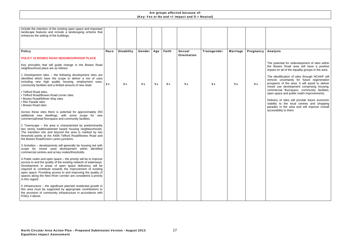| include the retention of the existing open space and important<br>landscape features and include a landscaping scheme that<br>enhances the setting of the buildings.                                                                                                                                                                                                                                          |         |                   |        |       |         |                    |             |                 |           |
|---------------------------------------------------------------------------------------------------------------------------------------------------------------------------------------------------------------------------------------------------------------------------------------------------------------------------------------------------------------------------------------------------------------|---------|-------------------|--------|-------|---------|--------------------|-------------|-----------------|-----------|
| <b>Policy</b>                                                                                                                                                                                                                                                                                                                                                                                                 | Race    | <b>Disability</b> | Gender | Age   | Faith   | <b>Sexual</b>      | Transgender | <b>Marriage</b> | Pregnancy |
| POLICY 19 BOWES ROAD NEIGHBOURHOOD PLACE                                                                                                                                                                                                                                                                                                                                                                      |         |                   |        |       |         | <b>Orientation</b> |             |                 |           |
| Key principles that will guide change in the Bowes Road<br>neighbourhood place are as follows:                                                                                                                                                                                                                                                                                                                |         |                   |        |       |         |                    |             |                 |           |
| 1 Development sites – the following development sites are<br>identified which have the scope to deliver a mix of uses<br>including new high quality housing, employment uses,<br>community facilities and a limited amount of new retail.                                                                                                                                                                     | $Y_{+}$ | $Y +$             | $Y +$  | $Y +$ | $Y_{+}$ | $Y_{+}$            | $Y_{+}$     | $Y_{+}$         | $Y_{+}$   |
| • Telford Road sites;<br>• Telford Road/Bowes Road corner sites<br>• Bowes Road/Wilmer Way sites<br>• Ritz Parade sites<br>• Bowes Road sites                                                                                                                                                                                                                                                                 |         |                   |        |       |         |                    |             |                 |           |
| Across these sites there is potential for approximately 250<br>additional new dwellings, with some scope for new<br>commercial/retail floorspace and community facilities.                                                                                                                                                                                                                                    |         |                   |        |       |         |                    |             |                 |           |
| 2 Townscape – the area is characterised by predominantly<br>two storey traditional/street based housing neighbourhoods.<br>The transition into and beyond the area is marked by two<br>threshold points at the A406 Telford Road/Bowes Road and<br>the Bowes Road/Green Lanes junctions.                                                                                                                      |         |                   |        |       |         |                    |             |                 |           |
| 3 Activities - developments will generally be housing led with<br>scope for mixed used development within identified<br>commercial centres and at key nodes/thresholds.                                                                                                                                                                                                                                       |         |                   |        |       |         |                    |             |                 |           |
| 4 Public realm and open space - the priority will be to improve<br>access to and the quality of the existing network of waterways.<br>Development in areas of open space deficiency will be<br>required to contribute towards the improvement of existing<br>open space. Providing access to and improving the quality of<br>spaces along the New River corridor are considered a priority<br>in this regard. |         |                   |        |       |         |                    |             |                 |           |
| 5 Infrastructure $-$ the significant planned residential growth in<br>this area must be supported by appropriate contributions to<br>the provision of community infrastructure in accordance with<br>Policy 3 above.                                                                                                                                                                                          |         |                   |        |       |         |                    |             |                 |           |

#### Analysis

The potential for redevelopment of sites within the Bowes Road area will have a positive impact on all of the equality groups in the area.

The identification of sites through NCAAP will remove uncertainty for future regeneration prospects of the area. It will assist to deliver mixed use development comprising housing, commercial floorspace, community facilities, open space and public realm improvements.

Delivery of sites will provide future economic viability to the local centres and shopping parades in the area and will improve overall accessibility to them.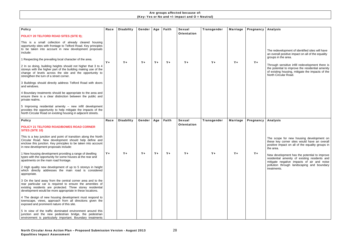| <b>Policy</b>                                                                                                                                                                                                                                       | Race    | <b>Disability</b> | Gender  | Age     | Faith   | <b>Sexual</b>      | <b>Transgender</b> | <b>Marriage</b> | Pregnancy |
|-----------------------------------------------------------------------------------------------------------------------------------------------------------------------------------------------------------------------------------------------------|---------|-------------------|---------|---------|---------|--------------------|--------------------|-----------------|-----------|
| POLICY 20 TELFORD ROAD SITES (SITE 9);                                                                                                                                                                                                              |         |                   |         |         |         | <b>Orientation</b> |                    |                 |           |
| This is a small collection of already cleared housing<br>opportunity sites with frontage to Telford Road. Key principles<br>to be taken into account in new development proposals<br>include:                                                       |         |                   |         |         |         |                    |                    |                 |           |
| 1 Respecting the prevailing local character of the area.                                                                                                                                                                                            | $Y_{+}$ | $Y +$             | $Y_{+}$ | $Y +$   | $Y_{+}$ | $Y +$              | $Y +$              | $Y_{+}$         | $Y_{+}$   |
| 2 In so doing, building heights should not higher that 3 to 4<br>storeys with the higher part of the building making use of the<br>change of levels across the site and the opportunity to<br>strengthen the turn of a street corner.               |         |                   |         |         |         |                    |                    |                 |           |
| 3 Buildings should directly address Telford Road with doors<br>and windows.                                                                                                                                                                         |         |                   |         |         |         |                    |                    |                 |           |
| 4 Boundary treatments should be appropriate to the area and<br>ensure there is a clear distinction between the public and<br>private realms.                                                                                                        |         |                   |         |         |         |                    |                    |                 |           |
| 5 Improving residential amenity - new infill development<br>provides the opportunity to help mitigate the impacts of the<br>North Circular Road on existing housing in adjacent streets.                                                            |         |                   |         |         |         |                    |                    |                 |           |
| <b>Policy</b>                                                                                                                                                                                                                                       | Race    | <b>Disability</b> | Gender  | Age     | Faith   | <b>Sexual</b>      | <b>Transgender</b> | <b>Marriage</b> | Pregnancy |
| <b>POLICY 21 TELFORD ROAD/BOWES ROAD CORNER</b><br><b>SITES (SITE 10)</b>                                                                                                                                                                           |         |                   |         |         |         | <b>Orientation</b> |                    |                 |           |
| This is a key junction and point of transition along the North<br>Circular Road. New development should help define and<br>enclose this junction. Key principles to be taken into account<br>in new development proposals include:                  |         |                   |         |         |         |                    |                    |                 |           |
| 1 New housing development providing a range of dwelling<br>types with the opportunity for some houses at the rear and<br>apartments on the main road frontage.                                                                                      | $Y_{+}$ | Y+                | $Y_{+}$ | $Y_{+}$ | Y+      | $Y_{+}$            | $Y_{+}$            | $Y_{+}$         | Y+        |
| 2 High quality new development of up to 5 storeys in height<br>which directly addresses the main road is considered<br>appropriate.                                                                                                                 |         |                   |         |         |         |                    |                    |                 |           |
| 3 On the land away from the central corner area and to the<br>rear particular car is required to ensure the amenities of<br>existing residents are protected. Three storey residential<br>development would be more appropriate in these locations. |         |                   |         |         |         |                    |                    |                 |           |
| 4 The design of new housing development must respond to<br>townscape, views, approach from all directions given the<br>exposed and prominent nature of this site.                                                                                   |         |                   |         |         |         |                    |                    |                 |           |
| 5 In view of the traffic dominated environment around this<br>junction and the new pedestrian bridge, the pedestrian<br>environment is particularly important. Boundary treatments                                                                  |         |                   |         |         |         |                    |                    |                 |           |

| <b>Analysis</b>                                                                                  |
|--------------------------------------------------------------------------------------------------|
|                                                                                                  |
|                                                                                                  |
|                                                                                                  |
|                                                                                                  |
| The redevelopment of identified sites will have                                                  |
| an overall positive impact on all of the equality<br>groups in the area.                         |
|                                                                                                  |
| Through sensitive infill redevelopment there is                                                  |
| the potential to improve the residential amenity                                                 |
| of existing housing, mitigate the impacts of the<br>North Circular Road.                         |
|                                                                                                  |
|                                                                                                  |
|                                                                                                  |
|                                                                                                  |
|                                                                                                  |
|                                                                                                  |
|                                                                                                  |
|                                                                                                  |
|                                                                                                  |
|                                                                                                  |
| <b>Analysis</b>                                                                                  |
|                                                                                                  |
|                                                                                                  |
|                                                                                                  |
| The scope for new housing development on                                                         |
| these key corner sites would have an overall<br>positive impact on all of the equality groups in |
| the area.                                                                                        |
|                                                                                                  |
| New development has the potential to improve<br>residential amenity of existing residents and    |
| mitigate negative impacts of air and noise                                                       |
| pollution through landscaping and boundary                                                       |
| treatments.                                                                                      |
|                                                                                                  |
|                                                                                                  |
|                                                                                                  |
|                                                                                                  |
|                                                                                                  |
|                                                                                                  |
|                                                                                                  |
|                                                                                                  |
|                                                                                                  |
|                                                                                                  |
|                                                                                                  |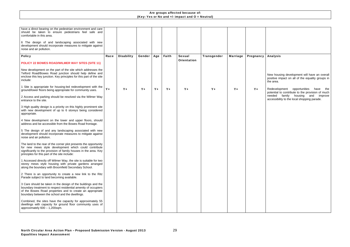| have a direct bearing on the pedestrian environment and care<br>should be taken to ensure pedestrians feel safe and<br>comfortable in this area.<br>6 The design of and landscaping associated with new<br>development should incorporate measures to mitigate against<br>noise and air pollution. |      |                   |        |       |         |                                     |             |                 |           |
|----------------------------------------------------------------------------------------------------------------------------------------------------------------------------------------------------------------------------------------------------------------------------------------------------|------|-------------------|--------|-------|---------|-------------------------------------|-------------|-----------------|-----------|
| <b>Policy</b>                                                                                                                                                                                                                                                                                      | Race | <b>Disability</b> | Gender | Age   | Faith   | <b>Sexual</b><br><b>Orientation</b> | Transgender | <b>Marriage</b> | Pregnancy |
| POLICY 22 BOWES ROAD/WILMER WAY SITES (SITE 11)<br>New development on the part of the site which addresses the<br>Telford Road/Bowes Road junction should help define and<br>enclose this key junction. Key principles for this part of the site<br>include:                                       |      |                   |        |       |         |                                     |             |                 |           |
| 1 Site is appropriate for housing-led redevelopment with the<br>ground/lower floors being appropriate for community uses.                                                                                                                                                                          | Y+   | $Y +$             | $Y +$  | $Y +$ | $Y_{+}$ | $Y +$                               | $Y_{+}$     | $Y_{+}$         | $Y_{+}$   |
| 2 Access and parking should be resolved via the Wilmer Way<br>entrance to the site.                                                                                                                                                                                                                |      |                   |        |       |         |                                     |             |                 |           |
| 3 High quality design is a priority on this highly prominent site<br>with new development of up to 6 storeys being considered<br>appropriate.                                                                                                                                                      |      |                   |        |       |         |                                     |             |                 |           |
| 4 New development on the lower and upper floors, should<br>address and be accessible from the Bowes Road frontage.                                                                                                                                                                                 |      |                   |        |       |         |                                     |             |                 |           |
| 5 The design of and any landscaping associated with new<br>development should incorporate measures to mitigate against<br>noise and air pollution.                                                                                                                                                 |      |                   |        |       |         |                                     |             |                 |           |
| The land to the rear of the corner plot presents the opportunity<br>for new mews style development which could contribute<br>significantly to the provision of family houses in the area. Key<br>principles for this part of the site include:                                                     |      |                   |        |       |         |                                     |             |                 |           |
| 1 Accessed directly off Wilmer Way, the site is suitable for two<br>storey mews style housing with private gardens arranged<br>along the boundary with Broomfield Secondary School.                                                                                                                |      |                   |        |       |         |                                     |             |                 |           |
| 2 There is an opportunity to create a new link to the Ritz<br>Parade subject to land becoming available.                                                                                                                                                                                           |      |                   |        |       |         |                                     |             |                 |           |
| 3 Care should be taken in the design of the buildings and the<br>boundary treatment to respect residential amenity of occupiers<br>of the Bowes Road properties and to create an appropriate<br>boundary between the school and the dwellings.                                                     |      |                   |        |       |         |                                     |             |                 |           |
| Combined, the sites have the capacity for approximately 55<br>dwellings with capacity for ground floor community uses of<br>approximately $600 - 1,200$ sqm.                                                                                                                                       |      |                   |        |       |         |                                     |             |                 |           |

| <b>Analysis</b>                                                                                                                                                                          |
|------------------------------------------------------------------------------------------------------------------------------------------------------------------------------------------|
|                                                                                                                                                                                          |
| New housing development will have an overall<br>positive impact on all of the equality groups in<br>the area.                                                                            |
| Redevelopment opportunities have<br>the<br>potential to contribute to the provision of much<br>family<br>housing and<br>needed<br>improve<br>accessibility to the local shopping parade. |
|                                                                                                                                                                                          |
|                                                                                                                                                                                          |
|                                                                                                                                                                                          |
|                                                                                                                                                                                          |
|                                                                                                                                                                                          |
|                                                                                                                                                                                          |
|                                                                                                                                                                                          |
|                                                                                                                                                                                          |
|                                                                                                                                                                                          |
|                                                                                                                                                                                          |
|                                                                                                                                                                                          |
|                                                                                                                                                                                          |
|                                                                                                                                                                                          |
|                                                                                                                                                                                          |
|                                                                                                                                                                                          |
|                                                                                                                                                                                          |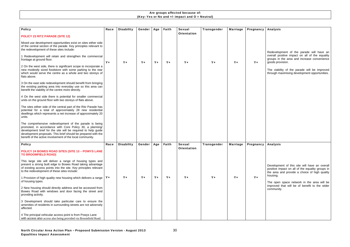| <b>Policy</b>                                                                                                                                                                                                                                                                                                     | Race    | <b>Disability</b> | <b>Gender</b> | Age   | Faith   | <b>Sexual</b>      | Transgender | <b>Marriage</b> | Pregnancy |
|-------------------------------------------------------------------------------------------------------------------------------------------------------------------------------------------------------------------------------------------------------------------------------------------------------------------|---------|-------------------|---------------|-------|---------|--------------------|-------------|-----------------|-----------|
| <b>POLICY 23 RITZ PARADE (SITE 12)</b>                                                                                                                                                                                                                                                                            |         |                   |               |       |         | <b>Orientation</b> |             |                 |           |
| Mixed use development opportunities exist on sites either side<br>of the central section of the parade. Key principles relevant to<br>the redevelopment of these sites include:                                                                                                                                   |         |                   |               |       |         |                    |             |                 |           |
| 1 Redevelopment will retain and strengthen the commercial<br>frontage at ground floor.                                                                                                                                                                                                                            | $Y_{+}$ | $Y +$             | $Y +$         | $Y +$ | $Y_{+}$ | $Y_{+}$            | $Y_{+}$     | $Y_{+}$         | $Y_{+}$   |
| 2 On the west side, there is significant scope to incorporate a<br>new modestly sized foodstore with some parking to the rear<br>which would serve the centre as a whole and two storeys of<br>flats above.                                                                                                       |         |                   |               |       |         |                    |             |                 |           |
| 3 On the east side redevelopment should benefit from bringing<br>the existing parking area into everyday use so this area can<br>benefit the viability of the centre more directly.                                                                                                                               |         |                   |               |       |         |                    |             |                 |           |
| 4 On the west side there is potential for smaller commercial<br>units on the ground floor with two storeys of flats above.                                                                                                                                                                                        |         |                   |               |       |         |                    |             |                 |           |
| The sites either side of the central part of the Ritz Parade has<br>potential for a total of approximately 28 new residential<br>dwellings which represents a net increase of approximately 20<br>units.                                                                                                          |         |                   |               |       |         |                    |             |                 |           |
| The comprehensive redevelopment of the parade is being<br>promoted, in accordance with Core Policy 30, a planning/<br>development brief for the site will be required to help guide<br>development proposals. This brief should be prepared with the<br>benefit of the active involvement of the local community. |         |                   |               |       |         |                    |             |                 |           |
| <b>Policy</b>                                                                                                                                                                                                                                                                                                     | Race    | <b>Disability</b> | Gender        | Age   | Faith   | <b>Sexual</b>      | Transgender | <b>Marriage</b> | Pregnancy |
| <b>POLICY 24 BOWES ROAD SITES (SITE 13 - POWYS LANE</b><br><b>TO BROOMFIELD ROAD)</b>                                                                                                                                                                                                                             |         |                   |               |       |         | <b>Orientation</b> |             |                 |           |
| This large site will deliver a range of housing types and<br>present a strong built edge to Bowes Road taking advantage<br>of existing access points into the site. Key principles relevant<br>to the redevelopment of these sites include:                                                                       |         |                   |               |       |         |                    |             |                 |           |
| 1 Provision of high quality new housing which delivers a range  <br>of housing types.                                                                                                                                                                                                                             | $Y_{+}$ | $Y +$             | $Y +$         | $Y +$ | $Y_{+}$ | $Y_{+}$            | $Y_{+}$     | $Y +$           | $Y +$     |
| 2 New housing should directly address and be accessed from<br>Bowes Road with windows and door facing the street and<br>providing activity.                                                                                                                                                                       |         |                   |               |       |         |                    |             |                 |           |
| 3 Development should take particular care to ensure the<br>amenities of residents in surrounding streets are not adversely<br>affected.                                                                                                                                                                           |         |                   |               |       |         |                    |             |                 |           |
| 4 The principal vehicular access point is from Powys Lane<br>with access also access also being provided via Broomfield Road.                                                                                                                                                                                     |         |                   |               |       |         |                    |             |                 |           |

| <b>Analysis</b>                                                                                                                                                |
|----------------------------------------------------------------------------------------------------------------------------------------------------------------|
|                                                                                                                                                                |
| Redevelopment of the parade will have an<br>overall positive impact on all of the equality<br>groups in the area and increase convenience<br>goods provision.  |
| The viability of the parade will be improved<br>through maximising development opportunities.                                                                  |
|                                                                                                                                                                |
|                                                                                                                                                                |
|                                                                                                                                                                |
|                                                                                                                                                                |
| <b>Analysis</b>                                                                                                                                                |
| Development of this site will have an overall<br>positive impact on all of the equality groups in<br>the area and provide a choice of high quality<br>housing. |
| The open space network in the area will be<br>improved that will be of benefit to the wider<br>community.                                                      |
|                                                                                                                                                                |
|                                                                                                                                                                |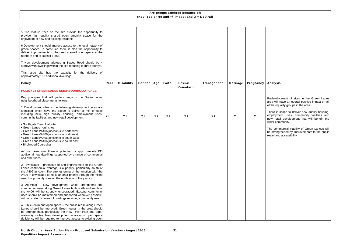Redevelopment of sites in the Green Lanes area will have an overall positive impact on all of the equality groups in the area.

There is scope to deliver new quality housing, employment uses, community facilities and new retail development that will benefit the wider community.

| 5 The mature trees on the site provide the opportunity to<br>provide high quality shared open amenity space for the<br>enjoyment of new and existing residents.<br>6 Development should improve access to the local network of<br>green spaces. In particular, there is also the opportunity to<br>deliver improvements to the nearby small open space at the<br>northern end of Russell Road. |       |                   |        |       |         |                                     |             |                 |           |
|------------------------------------------------------------------------------------------------------------------------------------------------------------------------------------------------------------------------------------------------------------------------------------------------------------------------------------------------------------------------------------------------|-------|-------------------|--------|-------|---------|-------------------------------------|-------------|-----------------|-----------|
| 7 New development addressing Bowes Road should be 4<br>storeys with dwellings within the site reducing to three storeys.                                                                                                                                                                                                                                                                       |       |                   |        |       |         |                                     |             |                 |           |
| This large site has the capacity for the delivery of<br>approximately 130 additional dwellings.                                                                                                                                                                                                                                                                                                |       |                   |        |       |         |                                     |             |                 |           |
| <b>Policy</b>                                                                                                                                                                                                                                                                                                                                                                                  | Race  | <b>Disability</b> | Gender | Age   | Faith   | <b>Sexual</b><br><b>Orientation</b> | Transgender | <b>Marriage</b> | Pregnancy |
| POLICY 25 GREEN LANES NEIGHBOURHOOD PLACE                                                                                                                                                                                                                                                                                                                                                      |       |                   |        |       |         |                                     |             |                 |           |
| Key principles that will guide change in the Green Lanes<br>neighbourhood place are as follows:                                                                                                                                                                                                                                                                                                |       |                   |        |       |         |                                     |             |                 |           |
| 1 Development sites - the following development sites are<br>identified which have the scope to deliver a mix of uses<br>including new high quality housing, employment uses,<br>community facilities and new retail development.                                                                                                                                                              | $Y +$ | $Y +$             | $Y +$  | $Y +$ | $Y_{+}$ | $Y +$                               | $Y_{+}$     | $Y_{+}$         | $Y_{+}$   |
| • Southgate Town Hall site;<br>• Green Lanes north sites;<br>• Green Lanes/A406 junction site north west;<br>• Green Lanes/A406 junction site north east;<br>• Green Lanes/A406 junction site south west;<br>• Green Lanes/A406 junction site south east;<br>· Birchwood Court sites.                                                                                                          |       |                   |        |       |         |                                     |             |                 |           |
| Across these sites there is potential for approximately 135<br>additional new dwellings supported by a range of commercial<br>and other uses.                                                                                                                                                                                                                                                  |       |                   |        |       |         |                                     |             |                 |           |
| 2 Townscape – protection of and improvement to the Green<br>Lanes commercial frontage is a priority, particularly south of<br>the A406 junction. The strengthening of the junction with the<br>A406 in townscape terms is another priority through the mixed<br>use of opportunity sites on the north side of the junction.                                                                    |       |                   |        |       |         |                                     |             |                 |           |
| 3 Activities – New development which strengthens the<br>commercial uses along Green Lanes both north and south of<br>the A406 will be strongly encouraged. Existing community<br>uses should be maintained and supported wherever possible,<br>with any refurbishment of buildings retaining community use.                                                                                    |       |                   |        |       |         |                                     |             |                 |           |
| 4 Public realm and open space - the public realm along Green<br>Lanes should be improved. Green routes in the area should<br>be strengthened, particularly the New River Path and other<br>waterway routes. New development in areas of open space<br>deficiency will be required to improve access to existing open                                                                           |       |                   |        |       |         |                                     |             |                 |           |

# Analysis

The commercial viability of Green Lances will be strengthened by improvements to the public realm and accessibility.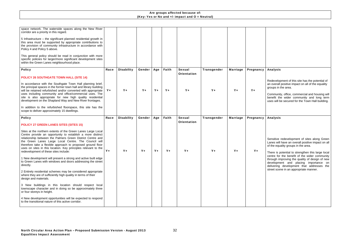| space network. The waterside spaces along the New River<br>corridor are a priority in this regard.<br>5 Infrastructure $-$ the significant planned residential growth in<br>this area must be supported by appropriate contributions to<br>the provision of community infrastructure in accordance with<br>Policy 4 and Policy 5 above.<br>This general policy should be read in conjunction with more<br>specific policies for larger/more significant development sites<br>within the Green Lanes neighbourhood place. |         |                   |         |       |         |                    |                    |                 |           |
|--------------------------------------------------------------------------------------------------------------------------------------------------------------------------------------------------------------------------------------------------------------------------------------------------------------------------------------------------------------------------------------------------------------------------------------------------------------------------------------------------------------------------|---------|-------------------|---------|-------|---------|--------------------|--------------------|-----------------|-----------|
| <b>Policy</b>                                                                                                                                                                                                                                                                                                                                                                                                                                                                                                            | Race    | <b>Disability</b> | Gender  | Age   | Faith   | <b>Sexual</b>      | <b>Transgender</b> | <b>Marriage</b> | Pregnancy |
| <b>POLICY 26 SOUTHGATE TOWN HALL (SITE 14)</b>                                                                                                                                                                                                                                                                                                                                                                                                                                                                           |         |                   |         |       |         | <b>Orientation</b> |                    |                 |           |
| In accordance with the Southgate Town Hall planning brief,<br>the principal spaces in the former town hall and library building<br>will be retained refurbished and/or converted with appropriate<br>uses including community and office/commercial uses. The<br>site is also appropriate for new high quality residential<br>development on the Shapland Way and New River frontages.                                                                                                                                   | $Y_{+}$ | $Y +$             | $Y_{+}$ | $Y +$ | $Y_{+}$ | $Y_{+}$            | $Y_{+}$            | $Y_{+}$         | $Y_{+}$   |
| In addition to the refurbished floorspace, this site has the<br>scope to deliver approximately 15 dwellings.                                                                                                                                                                                                                                                                                                                                                                                                             |         |                   |         |       |         |                    |                    |                 |           |
|                                                                                                                                                                                                                                                                                                                                                                                                                                                                                                                          |         |                   |         |       |         |                    |                    |                 |           |
| <b>Policy</b>                                                                                                                                                                                                                                                                                                                                                                                                                                                                                                            | Race    | <b>Disability</b> | Gender  | Age   | Faith   | <b>Sexual</b>      | Transgender        | <b>Marriage</b> | Pregnancy |
| <b>POLICY 27 GREEN LANES SITES (SITES 15)</b>                                                                                                                                                                                                                                                                                                                                                                                                                                                                            |         |                   |         |       |         | <b>Orientation</b> |                    |                 |           |
| Sites at the northern extents of the Green Lanes Large Local<br>Centre provide an opportunity to establish a more distinct<br>relationship between the Palmers Green District Centre and<br>the Green Lanes Large Local Centre. The Council will<br>therefore take a flexible approach to proposed ground floor<br>uses on sites in this location. Key principles relevant to the<br>redevelopment of these sites include:                                                                                               | $Y +$   | $Y_{+}$           | $Y +$   | $Y +$ | $Y_{+}$ | $Y_{+}$            | $Y_{+}$            | $Y_{+}$         | $Y_{+}$   |
| 1 New development will present a strong and active built edge<br>to Green Lanes with windows and doors addressing the street<br>directly.                                                                                                                                                                                                                                                                                                                                                                                |         |                   |         |       |         |                    |                    |                 |           |
| 2 Entirely residential schemes may be considered appropriate<br>where they are of sufficiently high quality in terms of their<br>design and materials.                                                                                                                                                                                                                                                                                                                                                                   |         |                   |         |       |         |                    |                    |                 |           |
| 3 New buildings in this location should respect local<br>townscape character and in doing so be approximately three<br>or four storeys in height.                                                                                                                                                                                                                                                                                                                                                                        |         |                   |         |       |         |                    |                    |                 |           |

Analysis Redevelopment of this site has the potential of an overall positive impact on all of the equality groups in the area. Community, office, commercial and housing will benefit the wider community and long term uses will be secured for the Town Hall building. Analysis Sensitive redevelopment of sites along Green Lanes will have an overall positive impact on all of the equality groups in the area. There is potential to strengthen this large local centre for the benefit of the wider community through improving the quality of design of new development and placing importance on delivering development that addresses the street scene in an appropriate manner.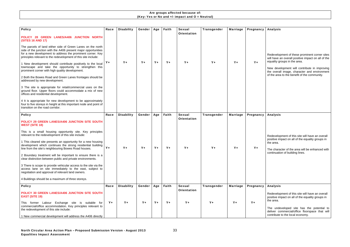| <b>Policy</b>                                                                                                                                                                                                                                                 | Race    | <b>Disability</b> | <b>Gender</b> | Age     | Faith   | <b>Sexual</b><br><b>Orientation</b> | Transgender | <b>Marriage</b> | Pregnancy |
|---------------------------------------------------------------------------------------------------------------------------------------------------------------------------------------------------------------------------------------------------------------|---------|-------------------|---------------|---------|---------|-------------------------------------|-------------|-----------------|-----------|
| POLICY 28 GREEN LANES/A406 JUNCTION NORTH<br><b>(SITES 16 AND 17)</b>                                                                                                                                                                                         |         |                   |               |         |         |                                     |             |                 |           |
| The parcels of land either side of Green Lanes on the north<br>side of the junction with the A406 present major opportunities<br>for a new development to address the prominent corner. Key<br>principles relevant to the redevelopment of this site include: |         |                   |               |         |         |                                     |             |                 |           |
| 1 New development should contribute positively to the local<br>townscape and take the opportunity to strengthen this<br>prominent corner with high quality development.                                                                                       | Y+      | $Y_{+}$           | $Y_{+}$       | $Y +$   | $Y +$   | $Y_{+}$                             | $Y_{+}$     | $Y_{+}$         | $Y_{+}$   |
| 2 Both the Bowes Road and Green Lanes frontages should be<br>addressed by new development.                                                                                                                                                                    |         |                   |               |         |         |                                     |             |                 |           |
| 3 The site is appropriate for retail/commercial uses on the<br>ground floor. Upper floors could accommodate a mix of new<br>offices and residential development.                                                                                              |         |                   |               |         |         |                                     |             |                 |           |
| 4 It is appropriate for new development to be approximately<br>four to five storeys in height at this important node and point of<br>transition on the road corridor.                                                                                         |         |                   |               |         |         |                                     |             |                 |           |
| <b>Policy</b>                                                                                                                                                                                                                                                 | Race    | <b>Disability</b> | Gender        | Age     | Faith   | <b>Sexual</b>                       | Transgender | <b>Marriage</b> | Pregnancy |
| POLICY 29 GREEN LANES/A406 JUNCTION SITE SOUTH<br><b>WEST (SITE 18)</b>                                                                                                                                                                                       |         |                   |               |         |         | <b>Orientation</b>                  |             |                 |           |
| This is a small housing opportunity site. Key principles<br>relevant to the redevelopment of this site include:                                                                                                                                               |         |                   |               |         |         |                                     |             |                 |           |
| 1 This cleared site presents an opportunity for a new housing<br>development which continues the strong residential building<br>line from the site's neighbouring Bowes Road houses.                                                                          | $Y_{+}$ | $Y +$             | $Y_{+}$       | $Y_{+}$ | $Y +$   | $Y_{+}$                             | $Y_{+}$     | $Y_{+}$         | $Y_{+}$   |
| 2 Boundary treatment will be important to ensure there is a<br>clear distinction between public and private environments.                                                                                                                                     |         |                   |               |         |         |                                     |             |                 |           |
| 3 There is scope to provide vehicular access to the site via the<br>access lane on site immediately to the east, subject to<br>negotiation and approval of relevant land owners.                                                                              |         |                   |               |         |         |                                     |             |                 |           |
| 4 Buildings should be a maximum of three storeys.                                                                                                                                                                                                             |         |                   |               |         |         |                                     |             |                 |           |
| <b>Policy</b>                                                                                                                                                                                                                                                 | Race    | <b>Disability</b> | Gender        | Age     | Faith   | <b>Sexual</b>                       | Transgender | <b>Marriage</b> | Pregnancy |
| POLICY 30 GREEN LANES/A406 JUNCTION SITE SOUTH<br><b>EAST (SITE 19)</b>                                                                                                                                                                                       |         |                   |               |         |         | <b>Orientation</b>                  |             |                 |           |
| former Labour Exchange site is suitable for<br>This<br>commercial/office accommodation. Key principles relevant to<br>the redevelopment of this site include:                                                                                                 | $Y_{+}$ | $Y +$             | $Y_{+}$       | $Y +$   | $Y_{+}$ | $Y_{+}$                             | $Y_{+}$     | $Y +$           | $Y_{+}$   |
| 1 New commercial development will address the A406 directly                                                                                                                                                                                                   |         |                   |               |         |         |                                     |             |                 |           |

| <b>Analysis</b>                                                                                                                                                                                                                                                                     |
|-------------------------------------------------------------------------------------------------------------------------------------------------------------------------------------------------------------------------------------------------------------------------------------|
| Redevelopment of these prominent corner sites<br>will have an overall positive impact on all of the<br>equality groups in the area.<br>New development will contribute in improving<br>the overall image, character and environment<br>of the area to the benefit of the community. |
|                                                                                                                                                                                                                                                                                     |
| <b>Analysis</b><br>Redevelopment of this site will have an overall<br>positive impact on all of the equality groups in<br>the area.<br>The character of the area will be enhanced with<br>continuation of building lines.                                                           |
| <b>Analysis</b>                                                                                                                                                                                                                                                                     |
| Redevelopment of this site will have an overall<br>positive impact on all of the equality groups in<br>the area.                                                                                                                                                                    |
| The undeveloped site has the potential to<br>deliver commercial/office floorspace that will<br>contribute to the local economy.                                                                                                                                                     |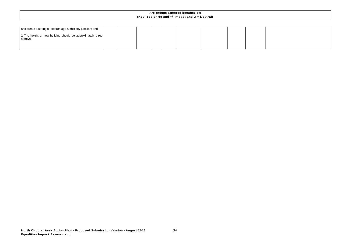

| and create a strong street frontage at this key junction; and          |  |  |  |  |  |
|------------------------------------------------------------------------|--|--|--|--|--|
| 2 The height of new building should be approximately three<br>storeys. |  |  |  |  |  |
|                                                                        |  |  |  |  |  |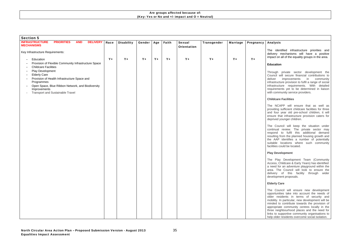| <b>Section 5</b>                                                                                                                                                                                                                                                                                                          |       |                   |        |       |         |                                     |             |                 |           |
|---------------------------------------------------------------------------------------------------------------------------------------------------------------------------------------------------------------------------------------------------------------------------------------------------------------------------|-------|-------------------|--------|-------|---------|-------------------------------------|-------------|-----------------|-----------|
| <b>INFRASTRUCTURE</b><br><b>PRIORITIES</b><br><b>AND</b><br><b>DELIVERY</b><br><b>MECHANISMS</b>                                                                                                                                                                                                                          | Race  | <b>Disability</b> | Gender | Age   | Faith   | <b>Sexual</b><br><b>Orientation</b> | Transgender | <b>Marriage</b> | Pregnancy |
| Key Infrastructure Requirements:                                                                                                                                                                                                                                                                                          |       |                   |        |       |         |                                     |             |                 |           |
| Education<br>Provision of Flexible Community Infrastructure Space<br><b>Childcare Facilities</b><br>Play Development<br><b>Elderly Care</b><br>Provision of Health Infrastructure Space and<br>Programmes<br>Open Space, Blue Ribbon Network, and Biodiversity<br>Improvements<br><b>Transport and Sustainable Travel</b> | $Y +$ | $Y+$              | $Y +$  | $Y +$ | $Y_{+}$ | $Y_{+}$                             | $Y_{+}$     | $Y +$           | $Y +$     |

#### Analysis

The identified infrastructure priorities and delivery mechanisms will have a positive impact on all of the equality groups in the area.

#### **Education**

Through private sector development the Council will secure financial contributions to deliver improvements in community infrastructure provision to fulfil a range of social infrastructure requirements. With detailed requirements yet to be determined in liaison with community service providers.

#### **Childcare Facilities**

The NCAPP will ensure that as well as providing sufficient childcare facilities for three and four year old pre-school children, it will ensure that infrastructure provision caters for deprived younger children.

The Council will keep the situation under continual review. The private sector may respond to fulfil this additional demand resulting from the planned housing growth and the AAP identifies a number of potentially suitable locations where such community facilities could be located.

#### **Play Development**

The Play Development Team (Community Access, Childcare & Early Years) has identified a need for an adventure playground within the area. The Council will look to ensure the delivery of this facility through wider development proposals.

#### **Elderly Care**

The Council will ensure new development opportunities take into account the needs of older residents in terms of security and mobility. In particular, new development will be minded to contribute towards the provision of appropriate community centres locally in the three neighbourhood places and the need for links to supportive community organisations to help older residents overcome social isolation.